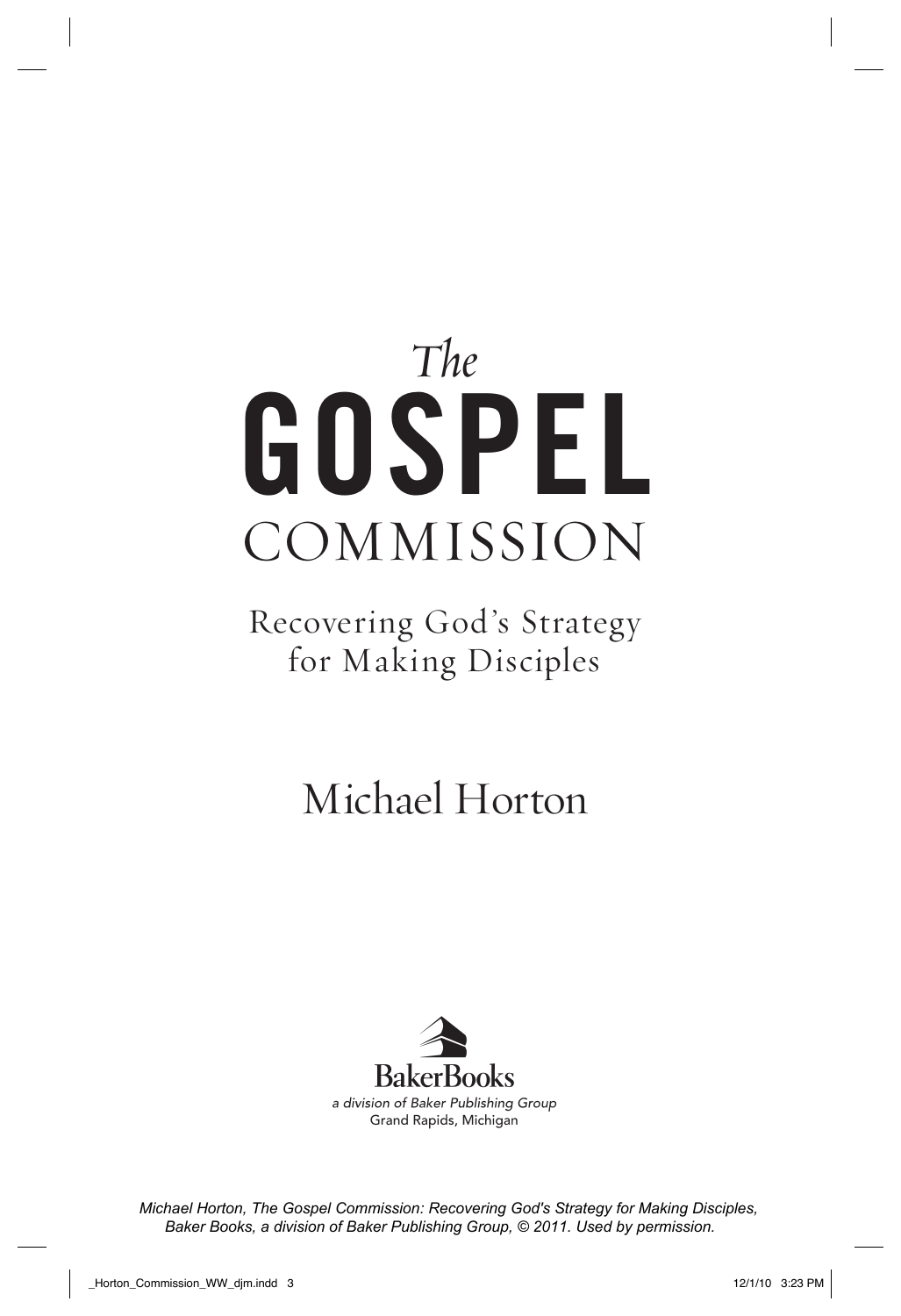# *The* **GOSPEL COMMISSION**

### Recovering God 's Strategy for Making Disciples

# Michael Horton

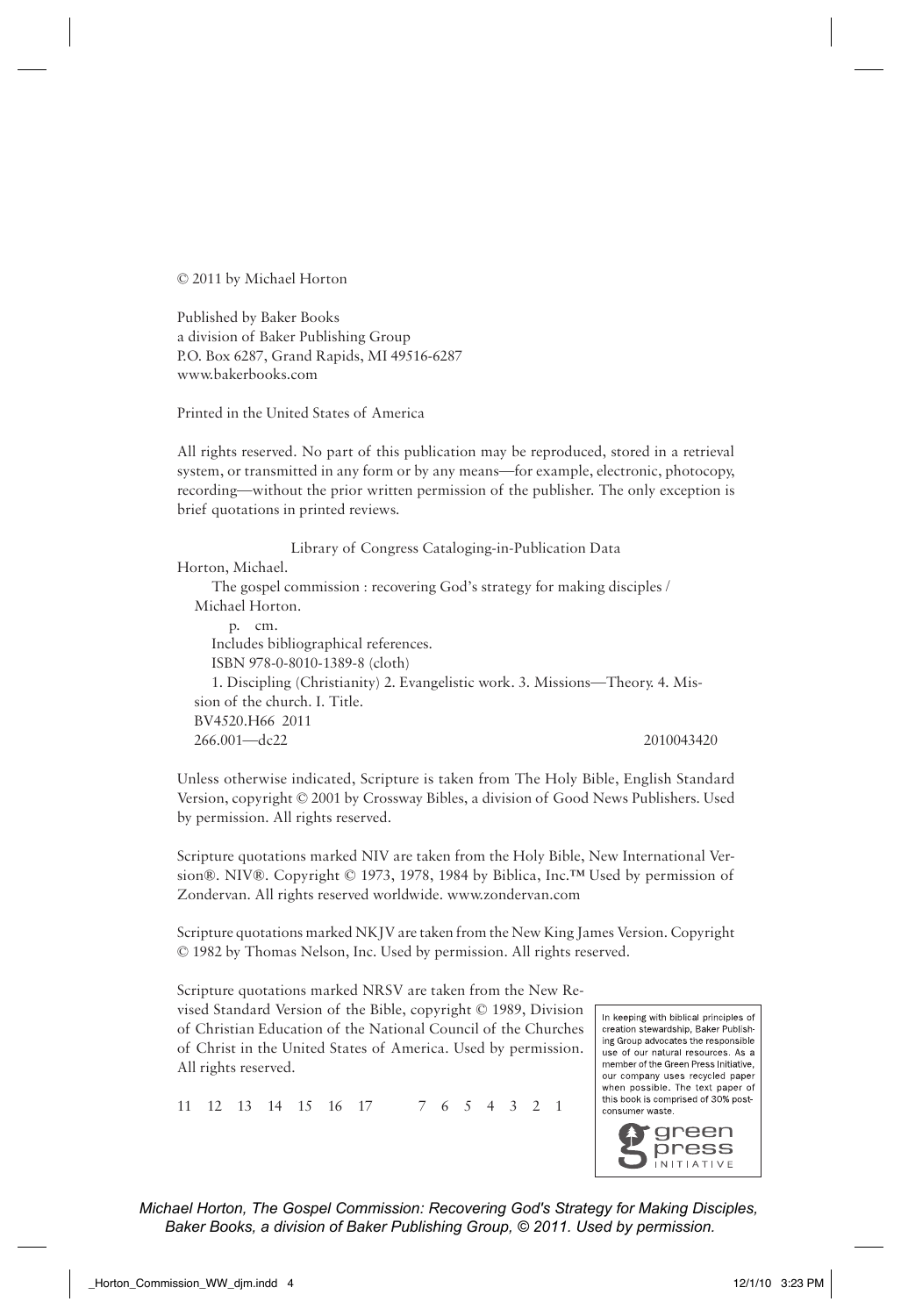© 2011 by Michael Horton

Published by Baker Books a division of Baker Publishing Group P.O. Box 6287, Grand Rapids, MI 49516-6287 www.bakerbooks.com

Printed in the United States of America

All rights reserved. No part of this publication may be reproduced, stored in a retrieval system, or transmitted in any form or by any means—for example, electronic, photocopy, recording—without the prior written permission of the publisher. The only exception is brief quotations in printed reviews.

Library of Congress Cataloging-in-Publication Data

Horton, Michael.

The gospel commission : recovering God's strategy for making disciples /

Michael Horton. p. cm. Includes bibliographical references. ISBN 978-0-8010-1389-8 (cloth) 1. Discipling (Christianity) 2. Evangelistic work. 3. Missions—Theory. 4. Mission of the church. I. Title. BV4520.H66 2011 266.001—dc22 2010043420

Unless otherwise indicated, Scripture is taken from The Holy Bible, English Standard Version, copyright © 2001 by Crossway Bibles, a division of Good News Publishers. Used by permission. All rights reserved.

Scripture quotations marked NIV are taken from the Holy Bible, New International Version®. NIV®. Copyright © 1973, 1978, 1984 by Biblica, Inc.™ Used by permission of Zondervan. All rights reserved worldwide. www.zondervan.com

Scripture quotations marked NKJV are taken from the New King James Version. Copyright © 1982 by Thomas Nelson, Inc. Used by permission. All rights reserved.

Scripture quotations marked NRSV are taken from the New Revised Standard Version of the Bible, copyright © 1989, Division of Christian Education of the National Council of the Churches of Christ in the United States of America. Used by permission. All rights reserved.

11 12 13 14 15 16 17 7 6 5 4 3 2 1

In keeping with biblical principles of creation stewardship. Baker Publishing Group advocates the responsible use of our natural resources. As a member of the Green Press Initiative. our company uses recycled paper when possible. The text paper of this book is comprised of 30% postconsumer waste.

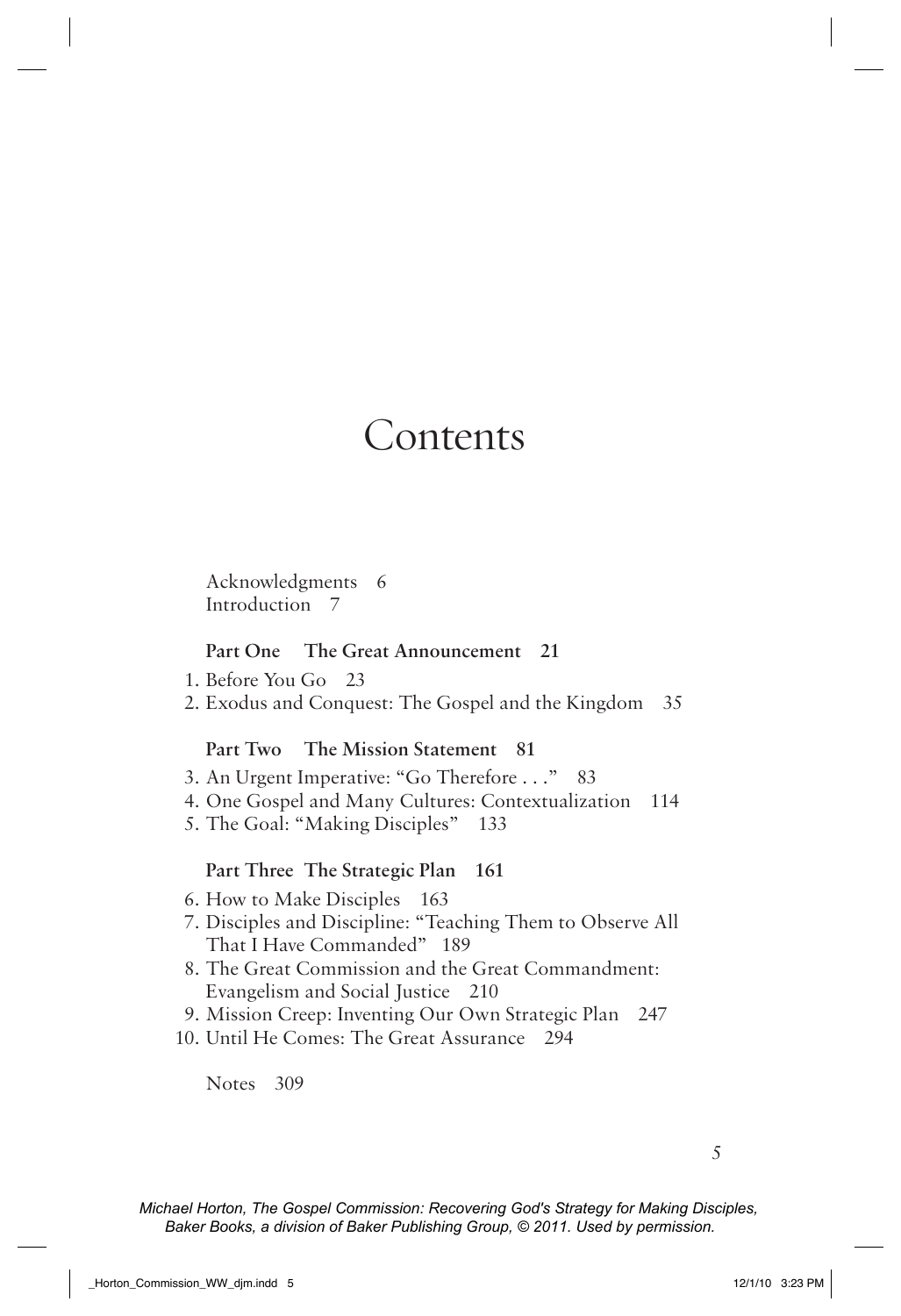### **Contents**

 Acknowledgments 6 Introduction 7

#### **Part One The Great Announcement 21**

- 1. Before You Go 23
- 2. Exodus and Conquest: The Gospel and the Kingdom 35

#### **Part Two The Mission Statement 81**

- 3. An Urgent Imperative: "Go Therefore . . ." 83
- 4. One Gospel and Many Cultures: Contextualization 114
- 5. The Goal: "Making Disciples" 133

#### **Part Three The Strategic Plan 161**

- 6. How to Make Disciples 163
- 7. Disciples and Discipline: "Teaching Them to Observe All That I Have Commanded" 189
- 8. The Great Commission and the Great Commandment: Evangelism and Social Justice 210
- 9. Mission Creep: Inventing Our Own Strategic Plan 247
- 10. Until He Comes: The Great Assurance 294

Notes 309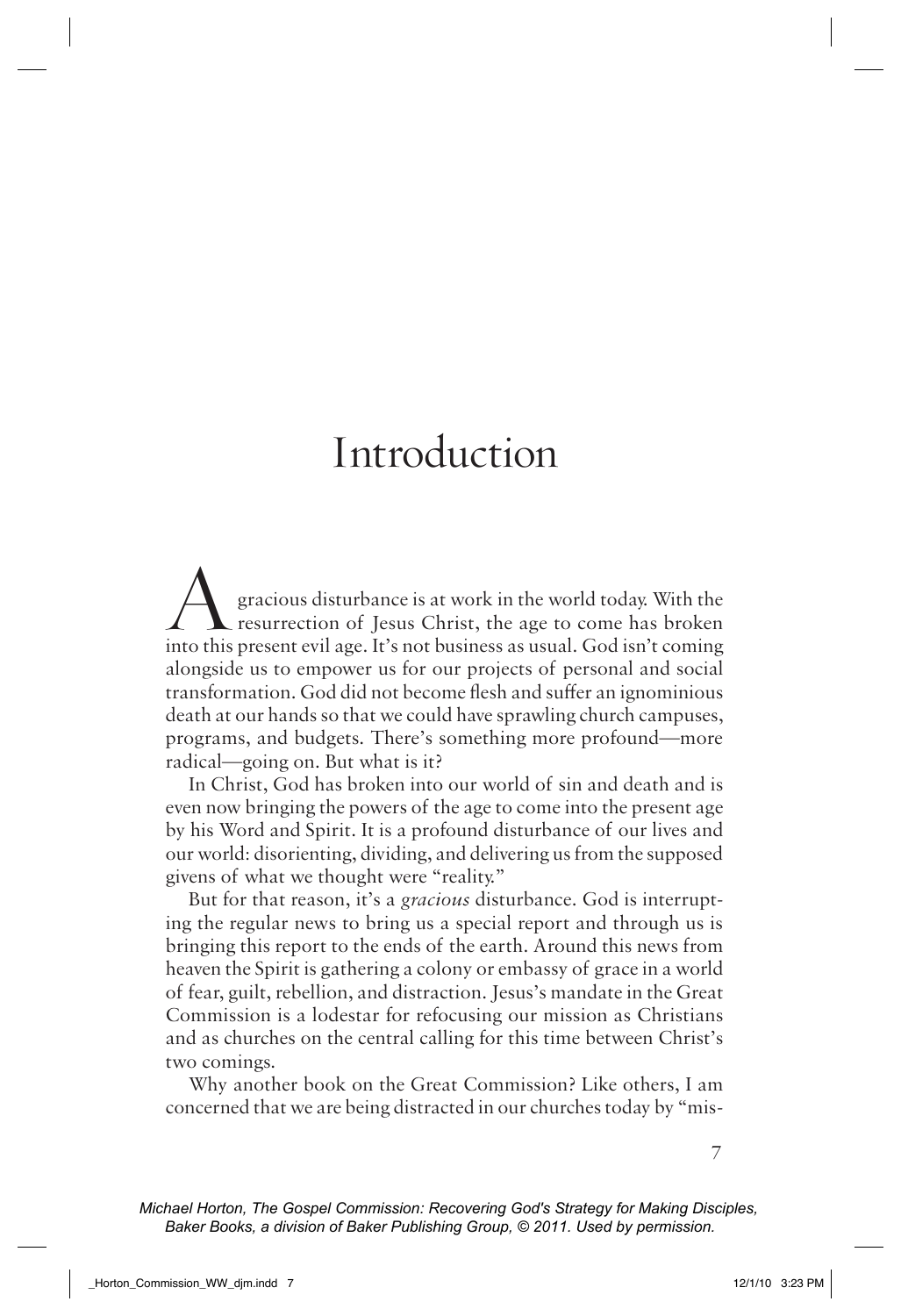### Introduction

gracious disturbance is at work in the world today. With the resurrection of Jesus Christ, the age to come has broken into this present evil age. It's not business as usual. God isn't coming alongside us to empower us for our projects of personal and social transformation. God did not become flesh and suffer an ignominious death at our hands so that we could have sprawling church campuses, programs, and budgets. There's something more profound—more radical—going on. But what is it?

In Christ, God has broken into our world of sin and death and is even now bringing the powers of the age to come into the present age by his Word and Spirit. It is a profound disturbance of our lives and our world: disorienting, dividing, and delivering us from the supposed givens of what we thought were "reality."

But for that reason, it's a *gracious* disturbance. God is interrupting the regular news to bring us a special report and through us is bringing this report to the ends of the earth. Around this news from heaven the Spirit is gathering a colony or embassy of grace in a world of fear, guilt, rebellion, and distraction. Jesus's mandate in the Great Commission is a lodestar for refocusing our mission as Christians and as churches on the central calling for this time between Christ's two comings.

Why another book on the Great Commission? Like others, I am concerned that we are being distracted in our churches today by "mis-

*Michael Horton, The Gospel Commission: Recovering God's Strategy for Making Disciples,* Baker Books, a division of Baker Publishing Group, © 2011. Used by permission.

7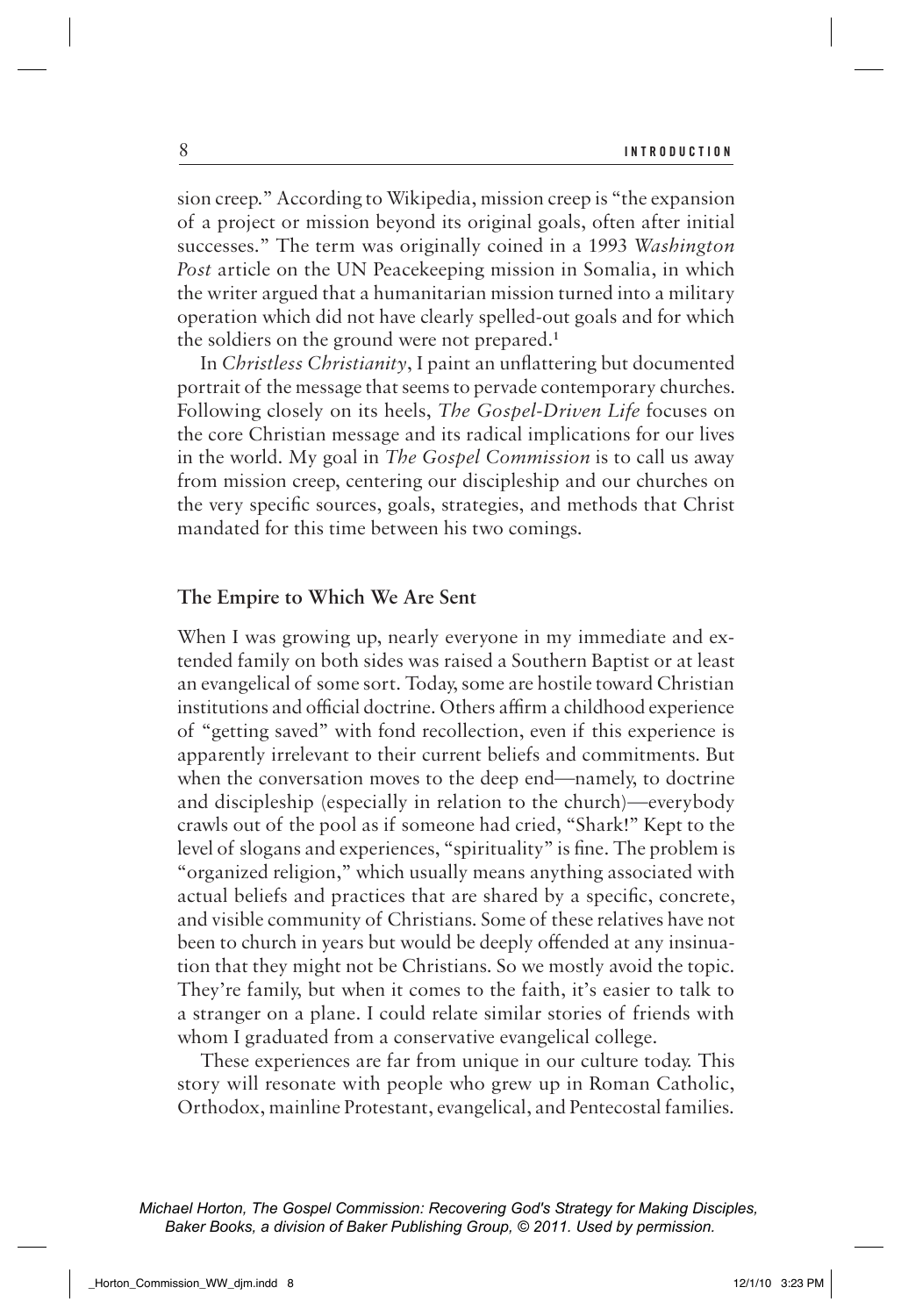sion creep." According to Wikipedia, mission creep is "the expansion of a project or mission beyond its original goals, often after initial successes." The term was originally coined in a 1993 *Washington Post* article on the UN Peacekeeping mission in Somalia, in which the writer argued that a humanitarian mission turned into a military operation which did not have clearly spelled-out goals and for which the soldiers on the ground were not prepared.**<sup>1</sup>**

In *Christless Christianity*, I paint an unflattering but documented portrait of the message that seems to pervade contemporary churches. Following closely on its heels, *The Gospel-Driven Life* focuses on the core Christian message and its radical implications for our lives in the world. My goal in *The Gospel Commission* is to call us away from mission creep, centering our discipleship and our churches on the very specific sources, goals, strategies, and methods that Christ mandated for this time between his two comings.

#### **The Empire to Which We Are Sent**

When I was growing up, nearly everyone in my immediate and extended family on both sides was raised a Southern Baptist or at least an evangelical of some sort. Today, some are hostile toward Christian institutions and official doctrine. Others affirm a childhood experience of "getting saved" with fond recollection, even if this experience is apparently irrelevant to their current beliefs and commitments. But when the conversation moves to the deep end—namely, to doctrine and discipleship (especially in relation to the church)—everybody crawls out of the pool as if someone had cried, "Shark!" Kept to the level of slogans and experiences, "spirituality" is fine. The problem is "organized religion," which usually means anything associated with actual beliefs and practices that are shared by a specific, concrete, and visible community of Christians. Some of these relatives have not been to church in years but would be deeply offended at any insinuation that they might not be Christians. So we mostly avoid the topic. They're family, but when it comes to the faith, it's easier to talk to a stranger on a plane. I could relate similar stories of friends with whom I graduated from a conservative evangelical college.

These experiences are far from unique in our culture today. This story will resonate with people who grew up in Roman Catholic, Orthodox, mainline Protestant, evangelical, and Pentecostal families.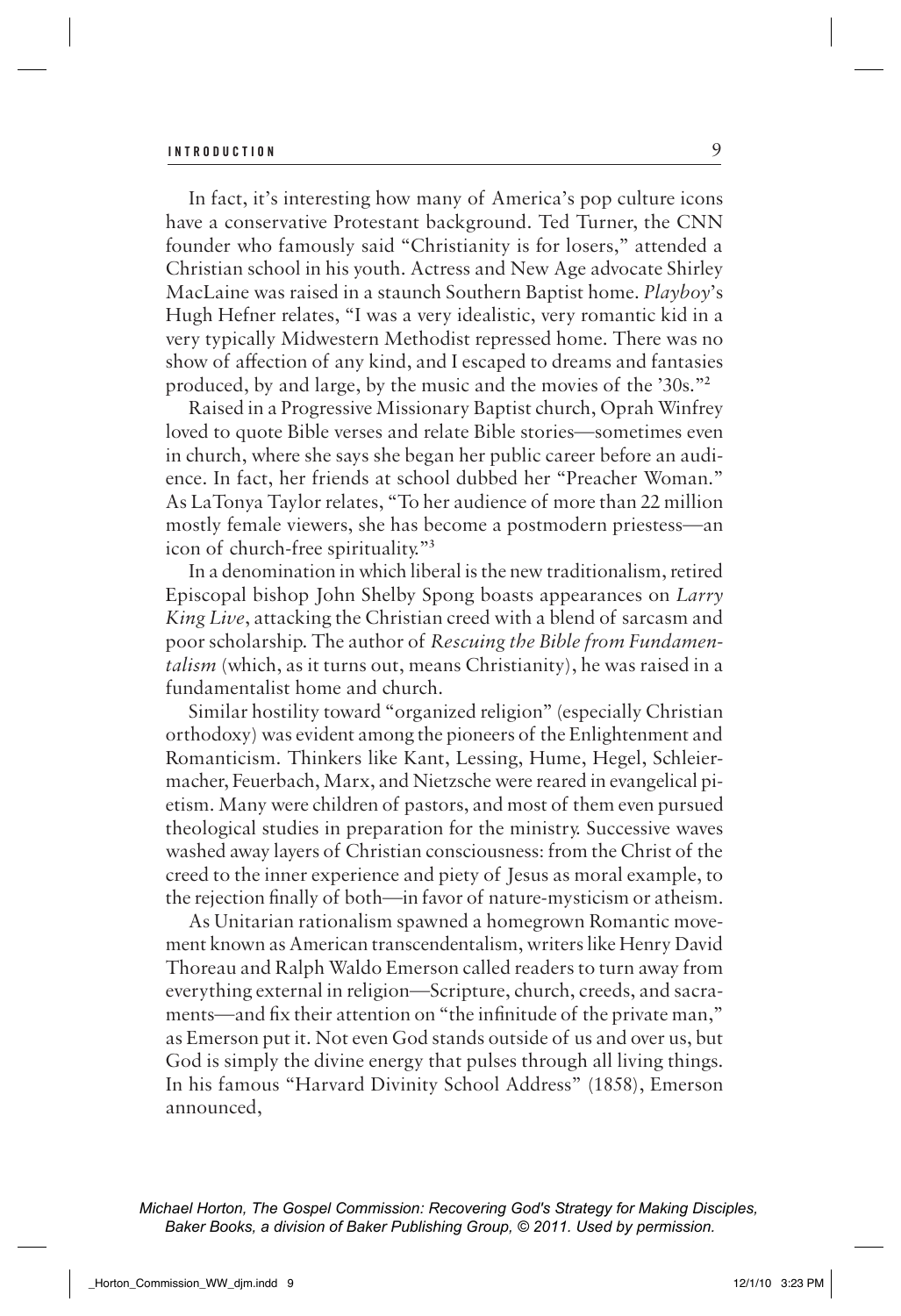In fact, it's interesting how many of America's pop culture icons have a conservative Protestant background. Ted Turner, the CNN founder who famously said "Christianity is for losers," attended a Christian school in his youth. Actress and New Age advocate Shirley MacLaine was raised in a staunch Southern Baptist home. *Playboy*'s Hugh Hefner relates, "I was a very idealistic, very romantic kid in a very typically Midwestern Methodist repressed home. There was no show of affection of any kind, and I escaped to dreams and fantasies produced, by and large, by the music and the movies of the '30s."**<sup>2</sup>**

Raised in a Progressive Missionary Baptist church, Oprah Winfrey loved to quote Bible verses and relate Bible stories—sometimes even in church, where she says she began her public career before an audience. In fact, her friends at school dubbed her "Preacher Woman." As LaTonya Taylor relates, "To her audience of more than 22 million mostly female viewers, she has become a postmodern priestess—an icon of church-free spirituality."**<sup>3</sup>**

In a denomination in which liberal is the new traditionalism, retired Episcopal bishop John Shelby Spong boasts appearances on *Larry King Live*, attacking the Christian creed with a blend of sarcasm and poor scholarship. The author of *Rescuing the Bible from Fundamentalism* (which, as it turns out, means Christianity), he was raised in a fundamentalist home and church.

Similar hostility toward "organized religion" (especially Christian orthodoxy) was evident among the pioneers of the Enlightenment and Romanticism. Thinkers like Kant, Lessing, Hume, Hegel, Schleiermacher, Feuerbach, Marx, and Nietzsche were reared in evangelical pietism. Many were children of pastors, and most of them even pursued theological studies in preparation for the ministry. Successive waves washed away layers of Christian consciousness: from the Christ of the creed to the inner experience and piety of Jesus as moral example, to the rejection finally of both—in favor of nature-mysticism or atheism.

As Unitarian rationalism spawned a homegrown Romantic movement known as American transcendentalism, writers like Henry David Thoreau and Ralph Waldo Emerson called readers to turn away from everything external in religion—Scripture, church, creeds, and sacraments—and fix their attention on "the infinitude of the private man," as Emerson put it. Not even God stands outside of us and over us, but God is simply the divine energy that pulses through all living things. In his famous "Harvard Divinity School Address" (1858), Emerson announced,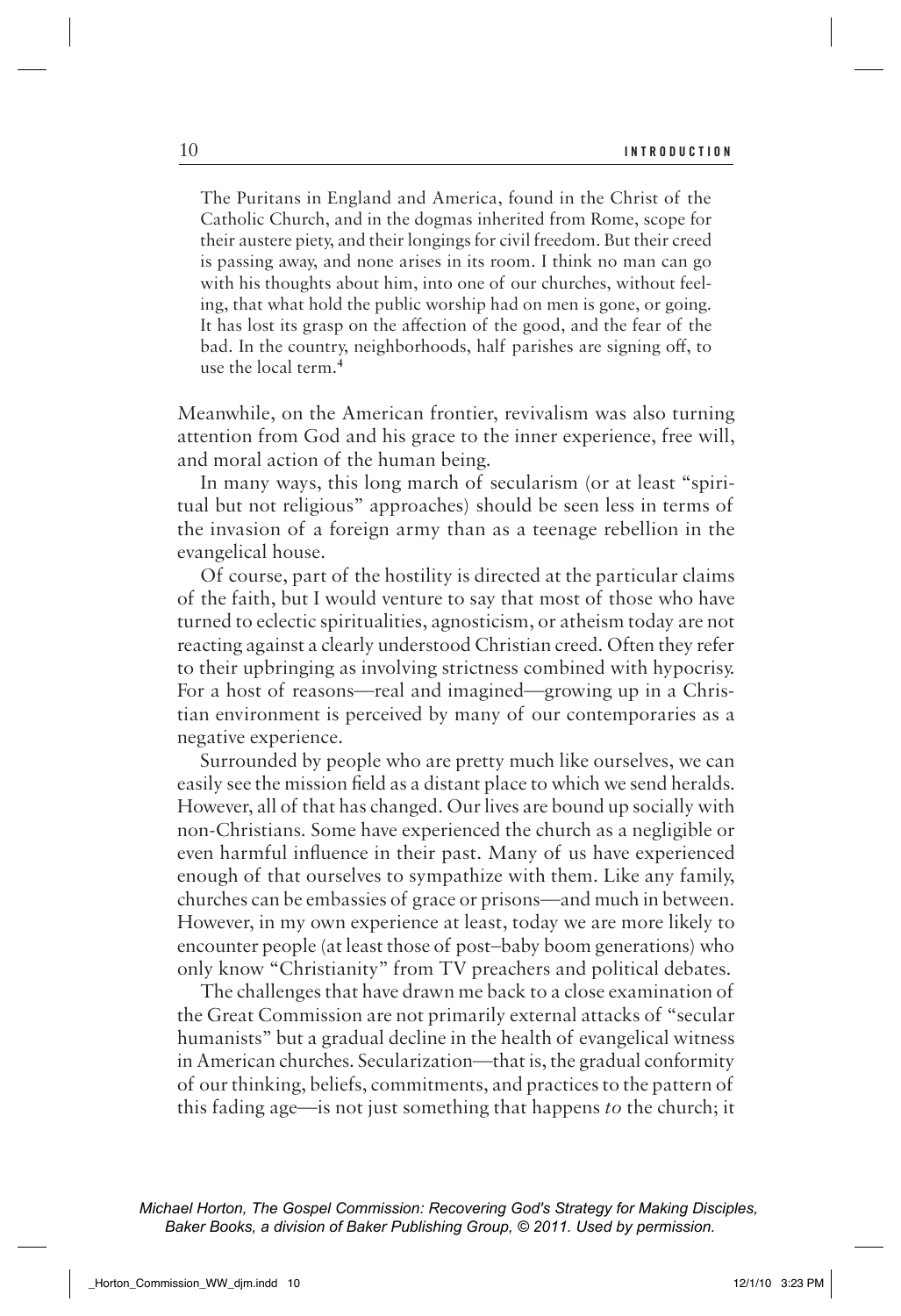The Puritans in England and America, found in the Christ of the Catholic Church, and in the dogmas inherited from Rome, scope for their austere piety, and their longings for civil freedom. But their creed is passing away, and none arises in its room. I think no man can go with his thoughts about him, into one of our churches, without feeling, that what hold the public worship had on men is gone, or going. It has lost its grasp on the affection of the good, and the fear of the bad. In the country, neighborhoods, half parishes are signing off, to use the local term.**<sup>4</sup>**

Meanwhile, on the American frontier, revivalism was also turning attention from God and his grace to the inner experience, free will, and moral action of the human being.

In many ways, this long march of secularism (or at least "spiritual but not religious" approaches) should be seen less in terms of the invasion of a foreign army than as a teenage rebellion in the evangelical house.

Of course, part of the hostility is directed at the particular claims of the faith, but I would venture to say that most of those who have turned to eclectic spiritualities, agnosticism, or atheism today are not reacting against a clearly understood Christian creed. Often they refer to their upbringing as involving strictness combined with hypocrisy. For a host of reasons—real and imagined—growing up in a Christian environment is perceived by many of our contemporaries as a negative experience.

Surrounded by people who are pretty much like ourselves, we can easily see the mission field as a distant place to which we send heralds. However, all of that has changed. Our lives are bound up socially with non-Christians. Some have experienced the church as a negligible or even harmful influence in their past. Many of us have experienced enough of that ourselves to sympathize with them. Like any family, churches can be embassies of grace or prisons—and much in between. However, in my own experience at least, today we are more likely to encounter people (at least those of post–baby boom generations) who only know "Christianity" from TV preachers and political debates.

The challenges that have drawn me back to a close examination of the Great Commission are not primarily external attacks of "secular humanists" but a gradual decline in the health of evangelical witness in American churches. Secularization—that is, the gradual conformity of our thinking, beliefs, commitments, and practices to the pattern of this fading age—is not just something that happens *to* the church; it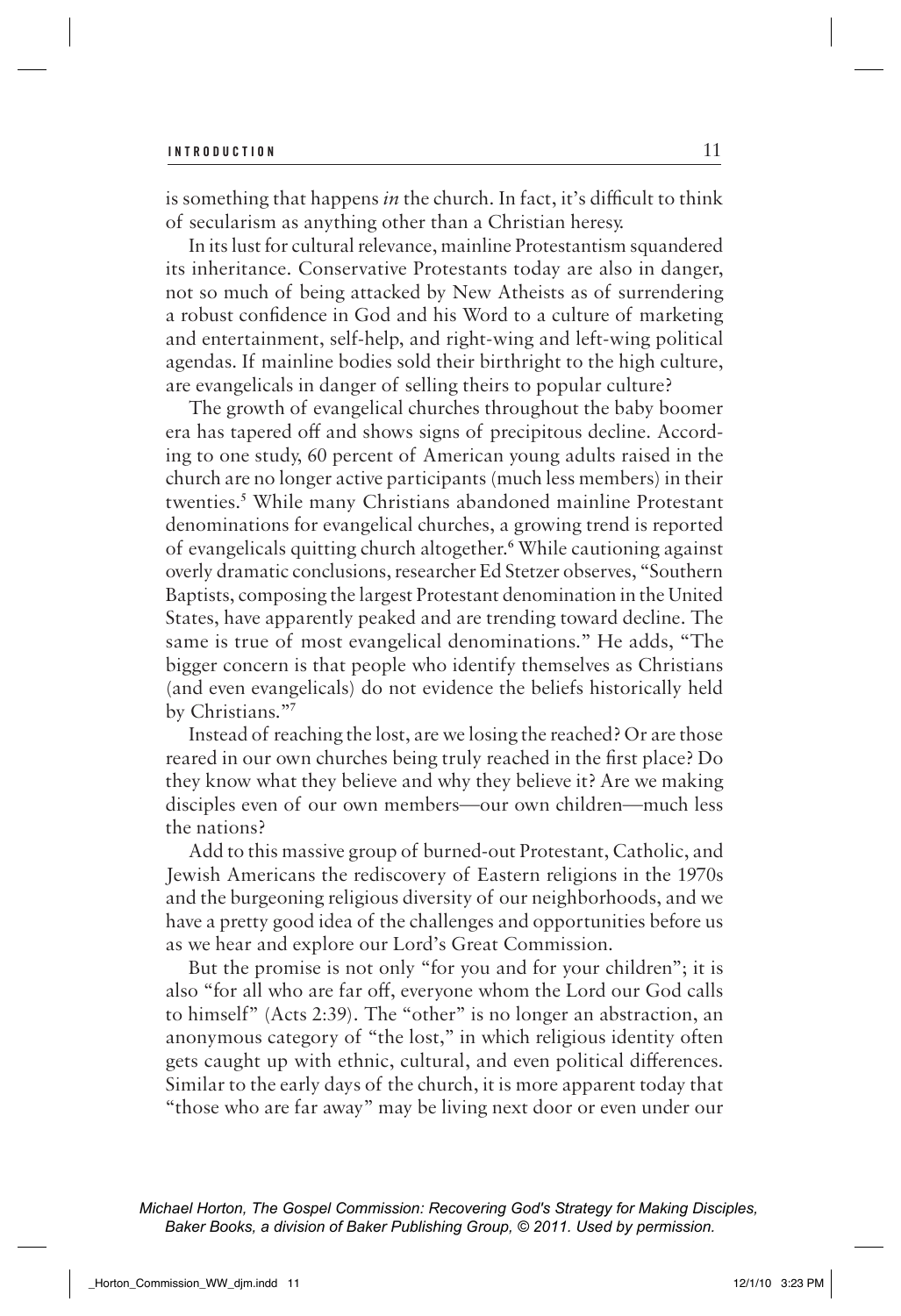is something that happens *in* the church. In fact, it's difficult to think of secularism as anything other than a Christian heresy.

In its lust for cultural relevance, mainline Protestantism squandered its inheritance. Conservative Protestants today are also in danger, not so much of being attacked by New Atheists as of surrendering a robust confidence in God and his Word to a culture of marketing and entertainment, self-help, and right-wing and left-wing political agendas. If mainline bodies sold their birthright to the high culture, are evangelicals in danger of selling theirs to popular culture?

The growth of evangelical churches throughout the baby boomer era has tapered off and shows signs of precipitous decline. According to one study, 60 percent of American young adults raised in the church are no longer active participants (much less members) in their twenties.**<sup>5</sup>** While many Christians abandoned mainline Protestant denominations for evangelical churches, a growing trend is reported of evangelicals quitting church altogether.**<sup>6</sup>** While cautioning against overly dramatic conclusions, researcher Ed Stetzer observes, "Southern Baptists, composing the largest Protestant denomination in the United States, have apparently peaked and are trending toward decline. The same is true of most evangelical denominations." He adds, "The bigger concern is that people who identify themselves as Christians (and even evangelicals) do not evidence the beliefs historically held by Christians."**<sup>7</sup>**

Instead of reaching the lost, are we losing the reached? Or are those reared in our own churches being truly reached in the first place? Do they know what they believe and why they believe it? Are we making disciples even of our own members—our own children—much less the nations?

Add to this massive group of burned-out Protestant, Catholic, and Jewish Americans the rediscovery of Eastern religions in the 1970s and the burgeoning religious diversity of our neighborhoods, and we have a pretty good idea of the challenges and opportunities before us as we hear and explore our Lord's Great Commission.

But the promise is not only "for you and for your children"; it is also "for all who are far off, everyone whom the Lord our God calls to himself" (Acts 2:39). The "other" is no longer an abstraction, an anonymous category of "the lost," in which religious identity often gets caught up with ethnic, cultural, and even political differences. Similar to the early days of the church, it is more apparent today that "those who are far away" may be living next door or even under our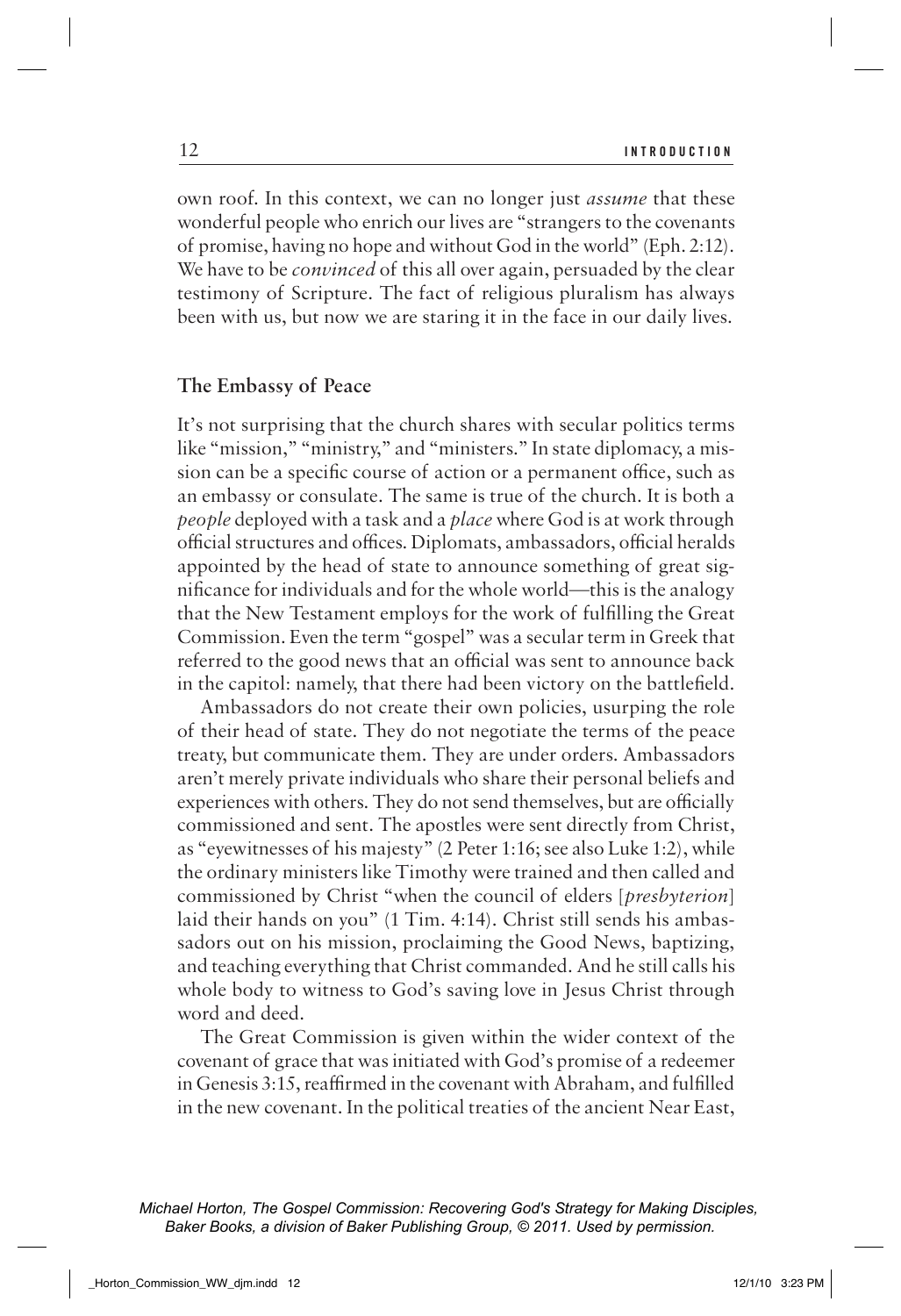own roof. In this context, we can no longer just *assume* that these wonderful people who enrich our lives are "strangers to the covenants of promise, having no hope and without God in the world" (Eph. 2:12). We have to be *convinced* of this all over again, persuaded by the clear testimony of Scripture. The fact of religious pluralism has always been with us, but now we are staring it in the face in our daily lives.

#### **The Embassy of Peace**

It's not surprising that the church shares with secular politics terms like "mission," "ministry," and "ministers." In state diplomacy, a mission can be a specific course of action or a permanent office, such as an embassy or consulate. The same is true of the church. It is both a *people* deployed with a task and a *place* where God is at work through official structures and offices. Diplomats, ambassadors, official heralds appointed by the head of state to announce something of great significance for individuals and for the whole world—this is the analogy that the New Testament employs for the work of fulfilling the Great Commission. Even the term "gospel" was a secular term in Greek that referred to the good news that an official was sent to announce back in the capitol: namely, that there had been victory on the battlefield.

Ambassadors do not create their own policies, usurping the role of their head of state. They do not negotiate the terms of the peace treaty, but communicate them. They are under orders. Ambassadors aren't merely private individuals who share their personal beliefs and experiences with others. They do not send themselves, but are officially commissioned and sent. The apostles were sent directly from Christ, as "eyewitnesses of his majesty" (2 Peter 1:16; see also Luke 1:2), while the ordinary ministers like Timothy were trained and then called and commissioned by Christ "when the council of elders [*presbyterion*] laid their hands on you" (1 Tim. 4:14). Christ still sends his ambassadors out on his mission, proclaiming the Good News, baptizing, and teaching everything that Christ commanded. And he still calls his whole body to witness to God's saving love in Jesus Christ through word and deed.

The Great Commission is given within the wider context of the covenant of grace that was initiated with God's promise of a redeemer in Genesis 3:15, reaffirmed in the covenant with Abraham, and fulfilled in the new covenant. In the political treaties of the ancient Near East,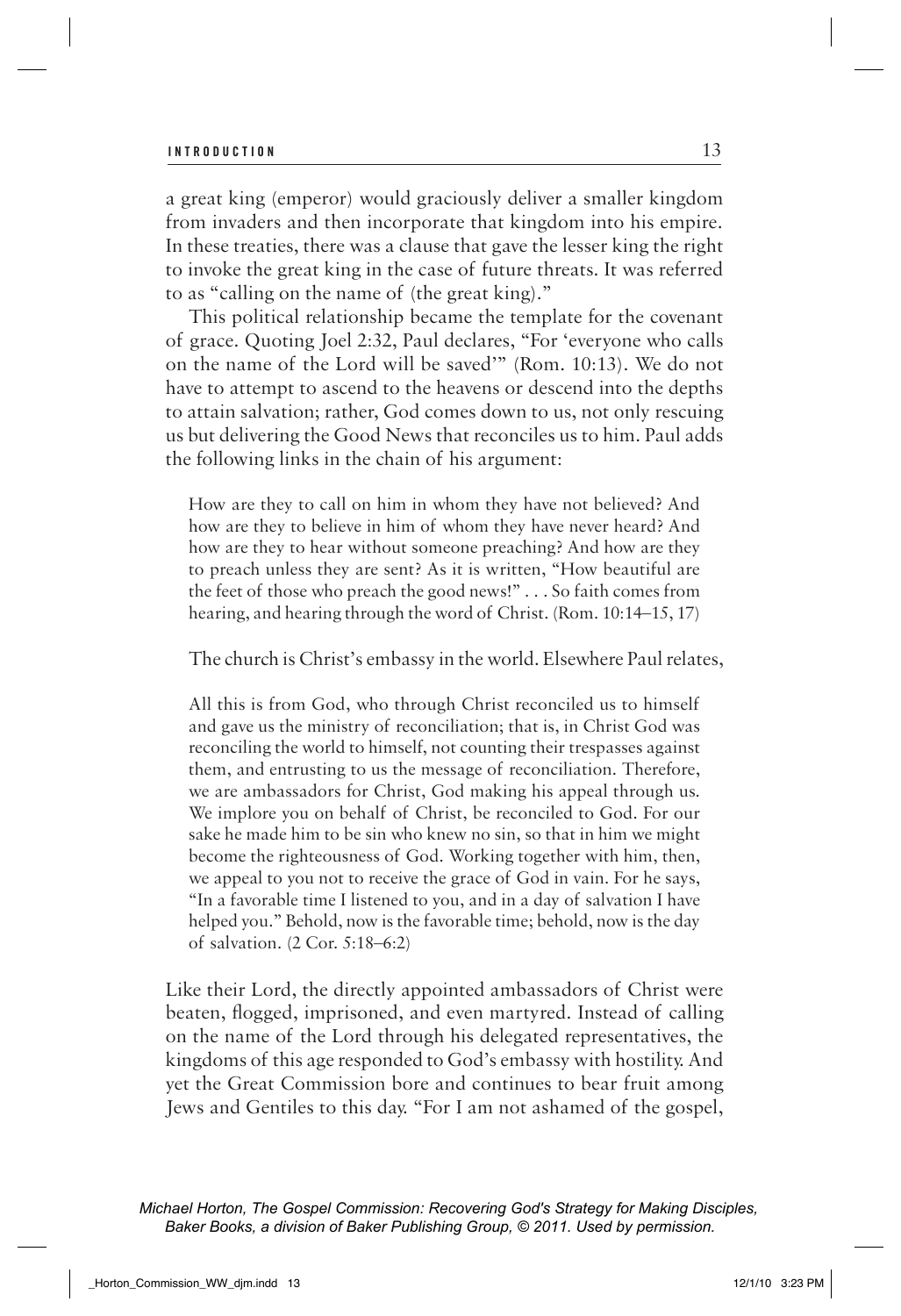a great king (emperor) would graciously deliver a smaller kingdom from invaders and then incorporate that kingdom into his empire. In these treaties, there was a clause that gave the lesser king the right to invoke the great king in the case of future threats. It was referred to as "calling on the name of (the great king)."

This political relationship became the template for the covenant of grace. Quoting Joel 2:32, Paul declares, "For 'everyone who calls on the name of the Lord will be saved'" (Rom. 10:13). We do not have to attempt to ascend to the heavens or descend into the depths to attain salvation; rather, God comes down to us, not only rescuing us but delivering the Good News that reconciles us to him. Paul adds the following links in the chain of his argument:

How are they to call on him in whom they have not believed? And how are they to believe in him of whom they have never heard? And how are they to hear without someone preaching? And how are they to preach unless they are sent? As it is written, "How beautiful are the feet of those who preach the good news!" . . . So faith comes from hearing, and hearing through the word of Christ. (Rom. 10:14–15, 17)

The church is Christ's embassy in the world. Elsewhere Paul relates,

All this is from God, who through Christ reconciled us to himself and gave us the ministry of reconciliation; that is, in Christ God was reconciling the world to himself, not counting their trespasses against them, and entrusting to us the message of reconciliation. Therefore, we are ambassadors for Christ, God making his appeal through us. We implore you on behalf of Christ, be reconciled to God. For our sake he made him to be sin who knew no sin, so that in him we might become the righteousness of God. Working together with him, then, we appeal to you not to receive the grace of God in vain. For he says, "In a favorable time I listened to you, and in a day of salvation I have helped you." Behold, now is the favorable time; behold, now is the day of salvation. (2 Cor. 5:18–6:2)

Like their Lord, the directly appointed ambassadors of Christ were beaten, flogged, imprisoned, and even martyred. Instead of calling on the name of the Lord through his delegated representatives, the kingdoms of this age responded to God's embassy with hostility. And yet the Great Commission bore and continues to bear fruit among Jews and Gentiles to this day. "For I am not ashamed of the gospel,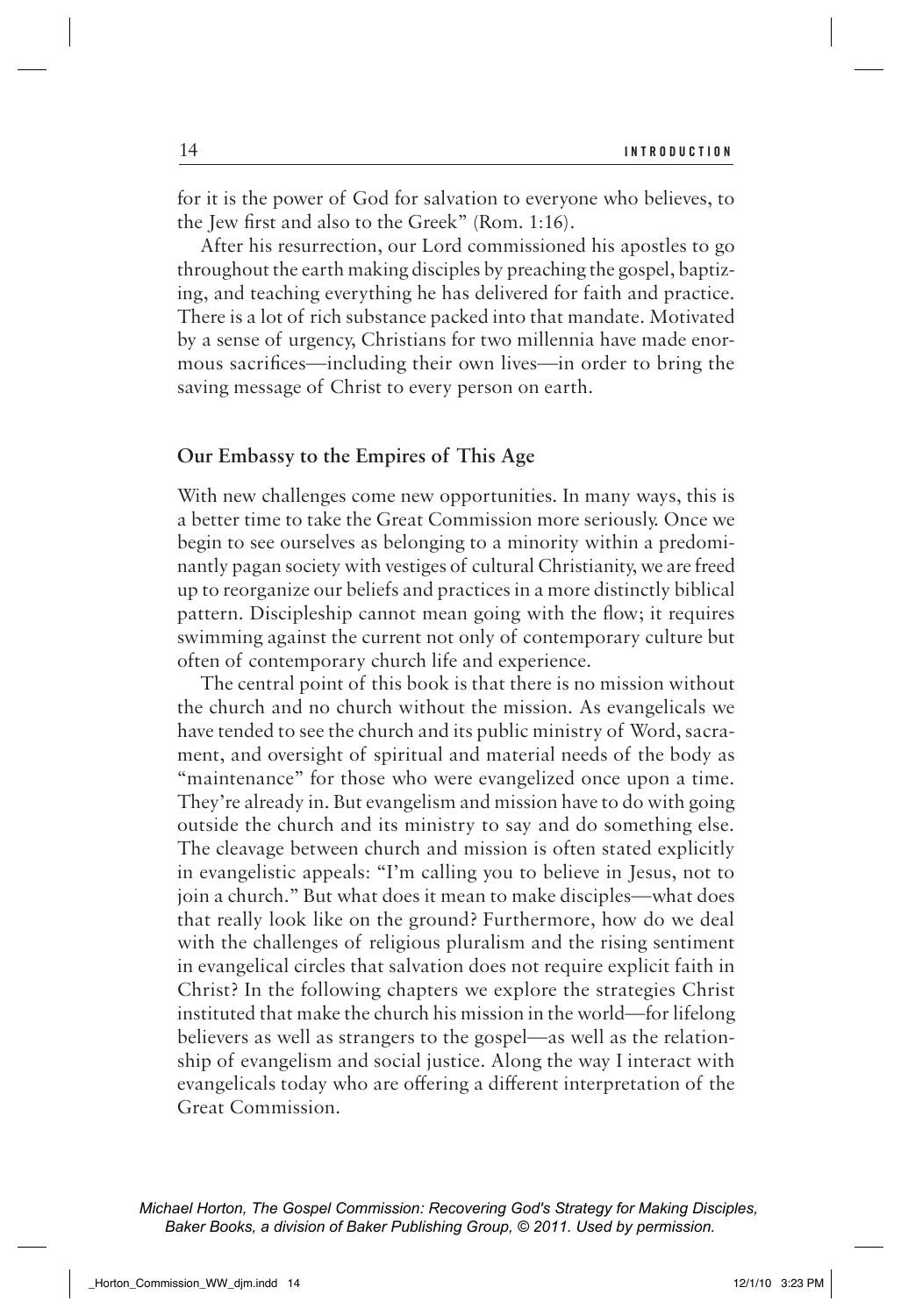for it is the power of God for salvation to everyone who believes, to the Jew first and also to the Greek" (Rom. 1:16).

After his resurrection, our Lord commissioned his apostles to go throughout the earth making disciples by preaching the gospel, baptizing, and teaching everything he has delivered for faith and practice. There is a lot of rich substance packed into that mandate. Motivated by a sense of urgency, Christians for two millennia have made enormous sacrifices—including their own lives—in order to bring the saving message of Christ to every person on earth.

#### **Our Embassy to the Empires of This Age**

With new challenges come new opportunities. In many ways, this is a better time to take the Great Commission more seriously. Once we begin to see ourselves as belonging to a minority within a predominantly pagan society with vestiges of cultural Christianity, we are freed up to reorganize our beliefs and practices in a more distinctly biblical pattern. Discipleship cannot mean going with the flow; it requires swimming against the current not only of contemporary culture but often of contemporary church life and experience.

The central point of this book is that there is no mission without the church and no church without the mission. As evangelicals we have tended to see the church and its public ministry of Word, sacrament, and oversight of spiritual and material needs of the body as "maintenance" for those who were evangelized once upon a time. They're already in. But evangelism and mission have to do with going outside the church and its ministry to say and do something else. The cleavage between church and mission is often stated explicitly in evangelistic appeals: "I'm calling you to believe in Jesus, not to join a church." But what does it mean to make disciples—what does that really look like on the ground? Furthermore, how do we deal with the challenges of religious pluralism and the rising sentiment in evangelical circles that salvation does not require explicit faith in Christ? In the following chapters we explore the strategies Christ instituted that make the church his mission in the world—for lifelong believers as well as strangers to the gospel—as well as the relationship of evangelism and social justice. Along the way I interact with evangelicals today who are offering a different interpretation of the Great Commission.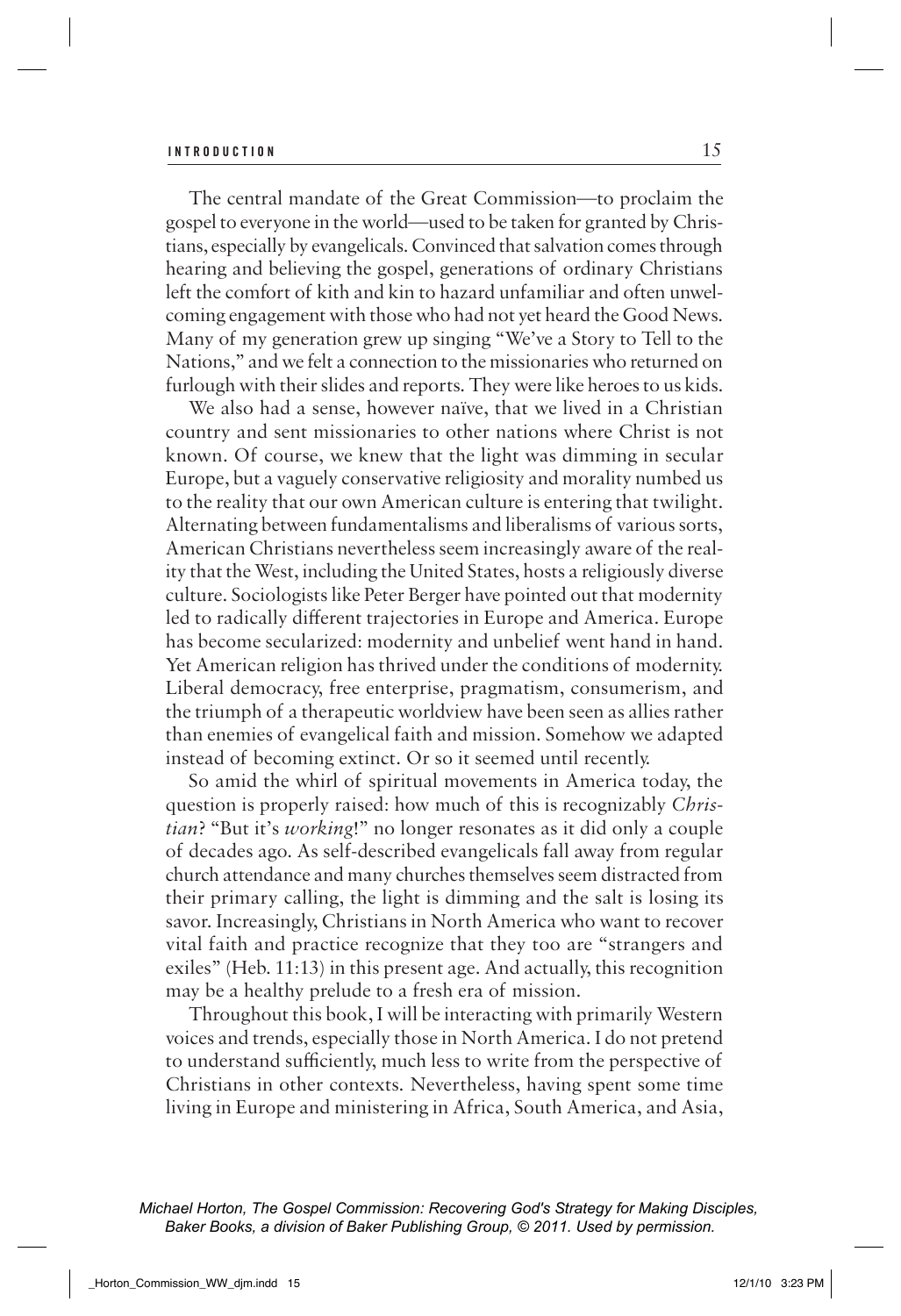The central mandate of the Great Commission—to proclaim the gospel to everyone in the world—used to be taken for granted by Christians, especially by evangelicals. Convinced that salvation comes through hearing and believing the gospel, generations of ordinary Christians left the comfort of kith and kin to hazard unfamiliar and often unwelcoming engagement with those who had not yet heard the Good News. Many of my generation grew up singing "We've a Story to Tell to the Nations," and we felt a connection to the missionaries who returned on furlough with their slides and reports. They were like heroes to us kids.

We also had a sense, however naïve, that we lived in a Christian country and sent missionaries to other nations where Christ is not known. Of course, we knew that the light was dimming in secular Europe, but a vaguely conservative religiosity and morality numbed us to the reality that our own American culture is entering that twilight. Alternating between fundamentalisms and liberalisms of various sorts, American Christians nevertheless seem increasingly aware of the reality that the West, including the United States, hosts a religiously diverse culture. Sociologists like Peter Berger have pointed out that modernity led to radically different trajectories in Europe and America. Europe has become secularized: modernity and unbelief went hand in hand. Yet American religion has thrived under the conditions of modernity. Liberal democracy, free enterprise, pragmatism, consumerism, and the triumph of a therapeutic worldview have been seen as allies rather than enemies of evangelical faith and mission. Somehow we adapted instead of becoming extinct. Or so it seemed until recently.

So amid the whirl of spiritual movements in America today, the question is properly raised: how much of this is recognizably *Christian*? "But it's *working*!" no longer resonates as it did only a couple of decades ago. As self-described evangelicals fall away from regular church attendance and many churches themselves seem distracted from their primary calling, the light is dimming and the salt is losing its savor. Increasingly, Christians in North America who want to recover vital faith and practice recognize that they too are "strangers and exiles" (Heb. 11:13) in this present age. And actually, this recognition may be a healthy prelude to a fresh era of mission.

Throughout this book, I will be interacting with primarily Western voices and trends, especially those in North America. I do not pretend to understand sufficiently, much less to write from the perspective of Christians in other contexts. Nevertheless, having spent some time living in Europe and ministering in Africa, South America, and Asia,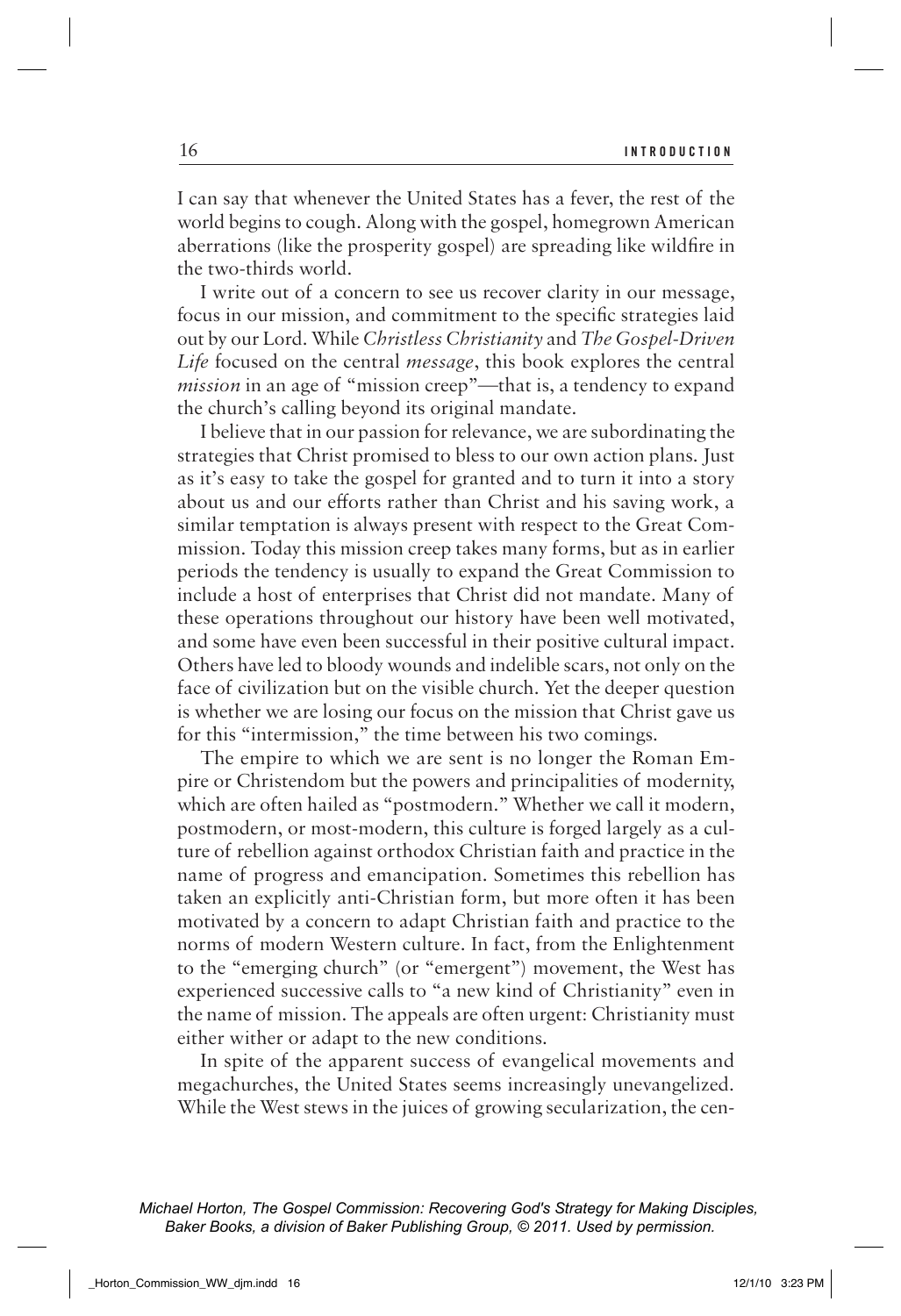I can say that whenever the United States has a fever, the rest of the world begins to cough. Along with the gospel, homegrown American aberrations (like the prosperity gospel) are spreading like wildfire in the two-thirds world.

I write out of a concern to see us recover clarity in our message, focus in our mission, and commitment to the specific strategies laid out by our Lord. While *Christless Christianity* and *The Gospel-Driven Life* focused on the central *message*, this book explores the central *mission* in an age of "mission creep"—that is, a tendency to expand the church's calling beyond its original mandate.

I believe that in our passion for relevance, we are subordinating the strategies that Christ promised to bless to our own action plans. Just as it's easy to take the gospel for granted and to turn it into a story about us and our efforts rather than Christ and his saving work, a similar temptation is always present with respect to the Great Commission. Today this mission creep takes many forms, but as in earlier periods the tendency is usually to expand the Great Commission to include a host of enterprises that Christ did not mandate. Many of these operations throughout our history have been well motivated, and some have even been successful in their positive cultural impact. Others have led to bloody wounds and indelible scars, not only on the face of civilization but on the visible church. Yet the deeper question is whether we are losing our focus on the mission that Christ gave us for this "intermission," the time between his two comings.

The empire to which we are sent is no longer the Roman Empire or Christendom but the powers and principalities of modernity, which are often hailed as "postmodern." Whether we call it modern, postmodern, or most-modern, this culture is forged largely as a culture of rebellion against orthodox Christian faith and practice in the name of progress and emancipation. Sometimes this rebellion has taken an explicitly anti-Christian form, but more often it has been motivated by a concern to adapt Christian faith and practice to the norms of modern Western culture. In fact, from the Enlightenment to the "emerging church" (or "emergent") movement, the West has experienced successive calls to "a new kind of Christianity" even in the name of mission. The appeals are often urgent: Christianity must either wither or adapt to the new conditions.

In spite of the apparent success of evangelical movements and megachurches, the United States seems increasingly unevangelized. While the West stews in the juices of growing secularization, the cen-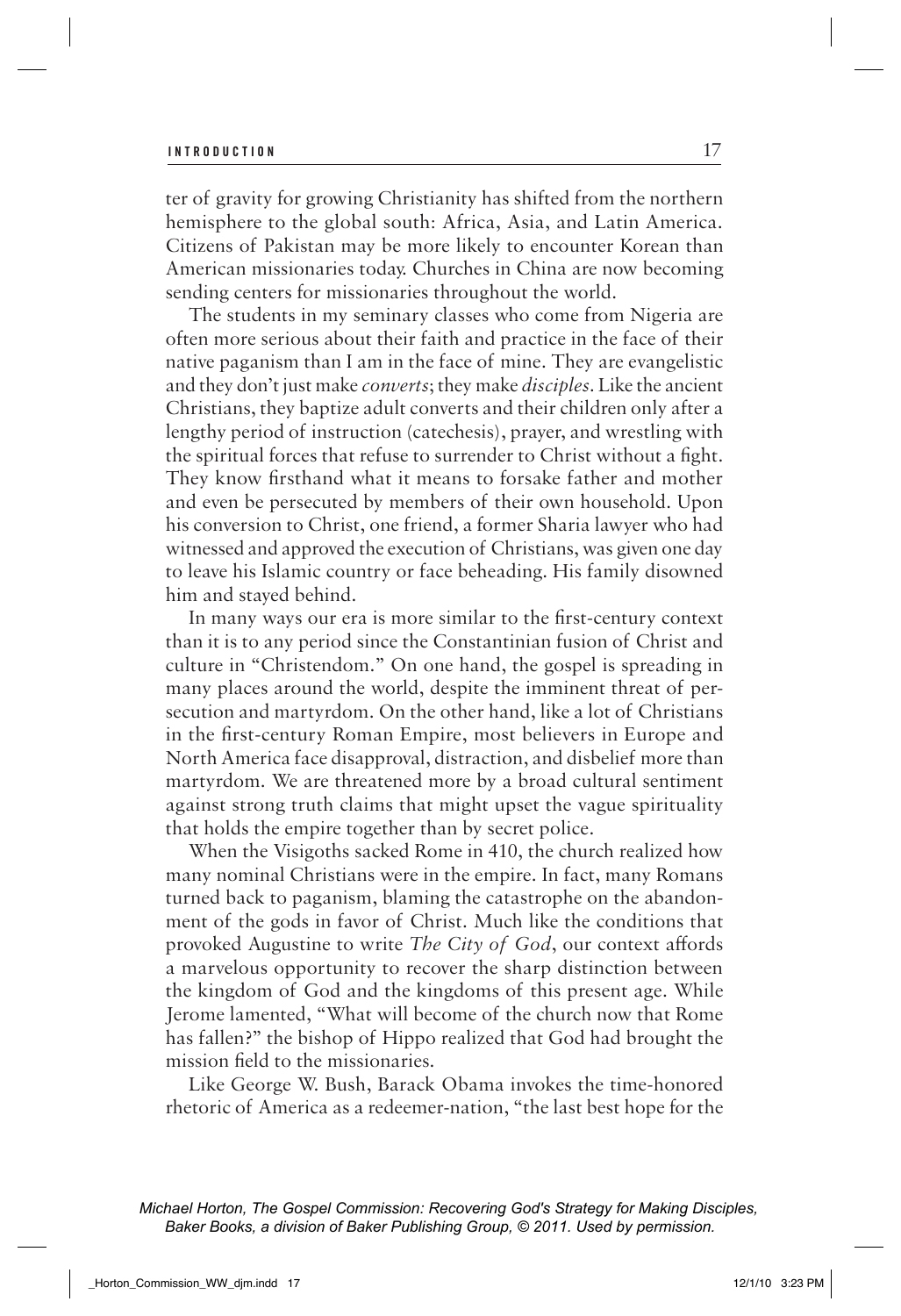ter of gravity for growing Christianity has shifted from the northern hemisphere to the global south: Africa, Asia, and Latin America. Citizens of Pakistan may be more likely to encounter Korean than American missionaries today. Churches in China are now becoming sending centers for missionaries throughout the world.

The students in my seminary classes who come from Nigeria are often more serious about their faith and practice in the face of their native paganism than I am in the face of mine. They are evangelistic and they don't just make *converts*; they make *disciples*. Like the ancient Christians, they baptize adult converts and their children only after a lengthy period of instruction (catechesis), prayer, and wrestling with the spiritual forces that refuse to surrender to Christ without a fight. They know firsthand what it means to forsake father and mother and even be persecuted by members of their own household. Upon his conversion to Christ, one friend, a former Sharia lawyer who had witnessed and approved the execution of Christians, was given one day to leave his Islamic country or face beheading. His family disowned him and stayed behind.

In many ways our era is more similar to the first-century context than it is to any period since the Constantinian fusion of Christ and culture in "Christendom." On one hand, the gospel is spreading in many places around the world, despite the imminent threat of persecution and martyrdom. On the other hand, like a lot of Christians in the first-century Roman Empire, most believers in Europe and North America face disapproval, distraction, and disbelief more than martyrdom. We are threatened more by a broad cultural sentiment against strong truth claims that might upset the vague spirituality that holds the empire together than by secret police.

When the Visigoths sacked Rome in 410, the church realized how many nominal Christians were in the empire. In fact, many Romans turned back to paganism, blaming the catastrophe on the abandonment of the gods in favor of Christ. Much like the conditions that provoked Augustine to write *The City of God*, our context affords a marvelous opportunity to recover the sharp distinction between the kingdom of God and the kingdoms of this present age. While Jerome lamented, "What will become of the church now that Rome has fallen?" the bishop of Hippo realized that God had brought the mission field to the missionaries.

Like George W. Bush, Barack Obama invokes the time-honored rhetoric of America as a redeemer-nation, "the last best hope for the

17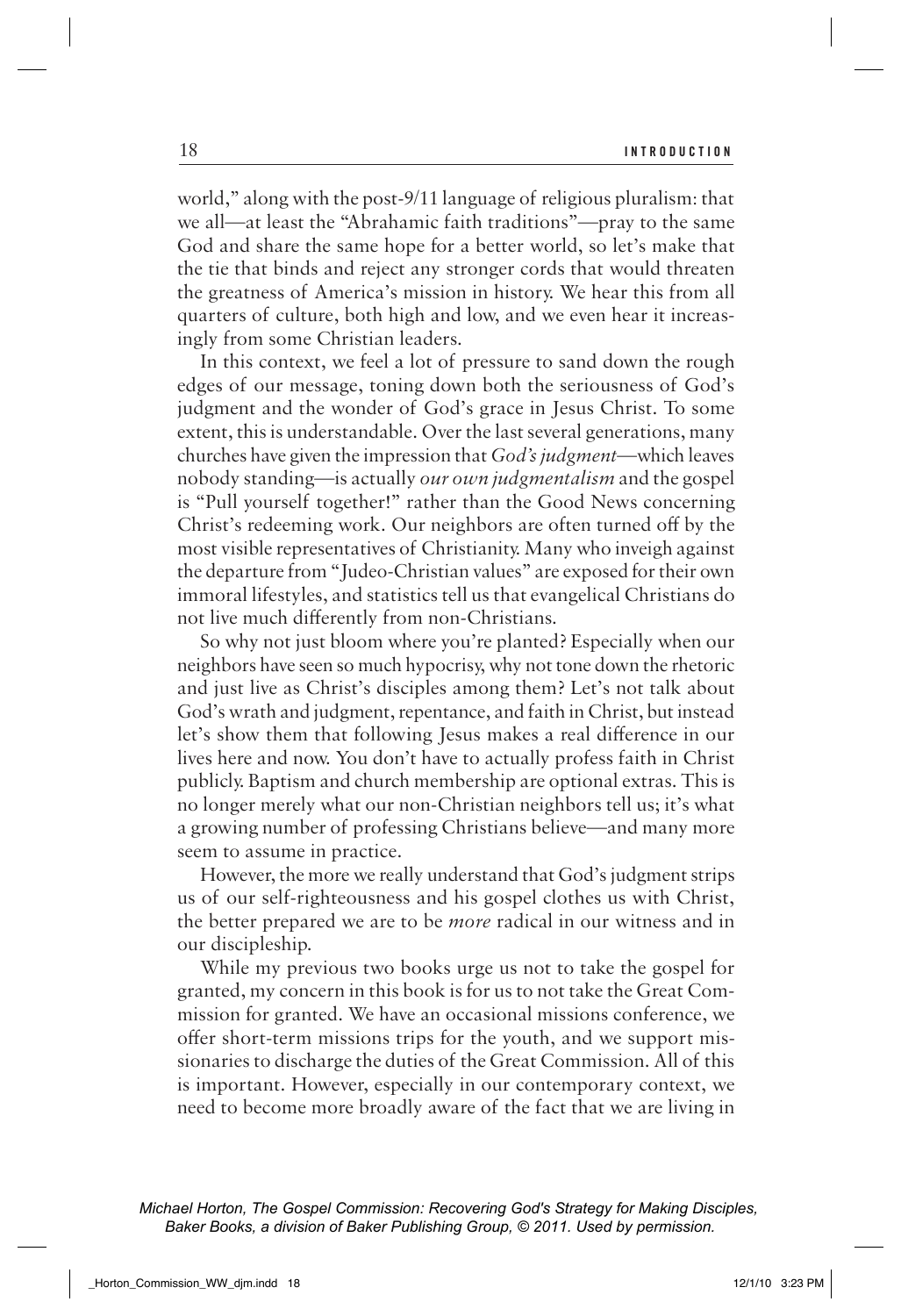world," along with the post-9/11 language of religious pluralism: that we all—at least the "Abrahamic faith traditions"—pray to the same God and share the same hope for a better world, so let's make that the tie that binds and reject any stronger cords that would threaten the greatness of America's mission in history. We hear this from all quarters of culture, both high and low, and we even hear it increasingly from some Christian leaders.

In this context, we feel a lot of pressure to sand down the rough edges of our message, toning down both the seriousness of God's judgment and the wonder of God's grace in Jesus Christ. To some extent, this is understandable. Over the last several generations, many churches have given the impression that *God's judgment*—which leaves nobody standing—is actually *our own judgmentalism* and the gospel is "Pull yourself together!" rather than the Good News concerning Christ's redeeming work. Our neighbors are often turned off by the most visible representatives of Christianity. Many who inveigh against the departure from "Judeo-Christian values" are exposed for their own immoral lifestyles, and statistics tell us that evangelical Christians do not live much differently from non-Christians.

So why not just bloom where you're planted? Especially when our neighbors have seen so much hypocrisy, why not tone down the rhetoric and just live as Christ's disciples among them? Let's not talk about God's wrath and judgment, repentance, and faith in Christ, but instead let's show them that following Jesus makes a real difference in our lives here and now. You don't have to actually profess faith in Christ publicly. Baptism and church membership are optional extras. This is no longer merely what our non-Christian neighbors tell us; it's what a growing number of professing Christians believe—and many more seem to assume in practice.

However, the more we really understand that God's judgment strips us of our self-righteousness and his gospel clothes us with Christ, the better prepared we are to be *more* radical in our witness and in our discipleship.

While my previous two books urge us not to take the gospel for granted, my concern in this book is for us to not take the Great Commission for granted. We have an occasional missions conference, we offer short-term missions trips for the youth, and we support missionaries to discharge the duties of the Great Commission. All of this is important. However, especially in our contemporary context, we need to become more broadly aware of the fact that we are living in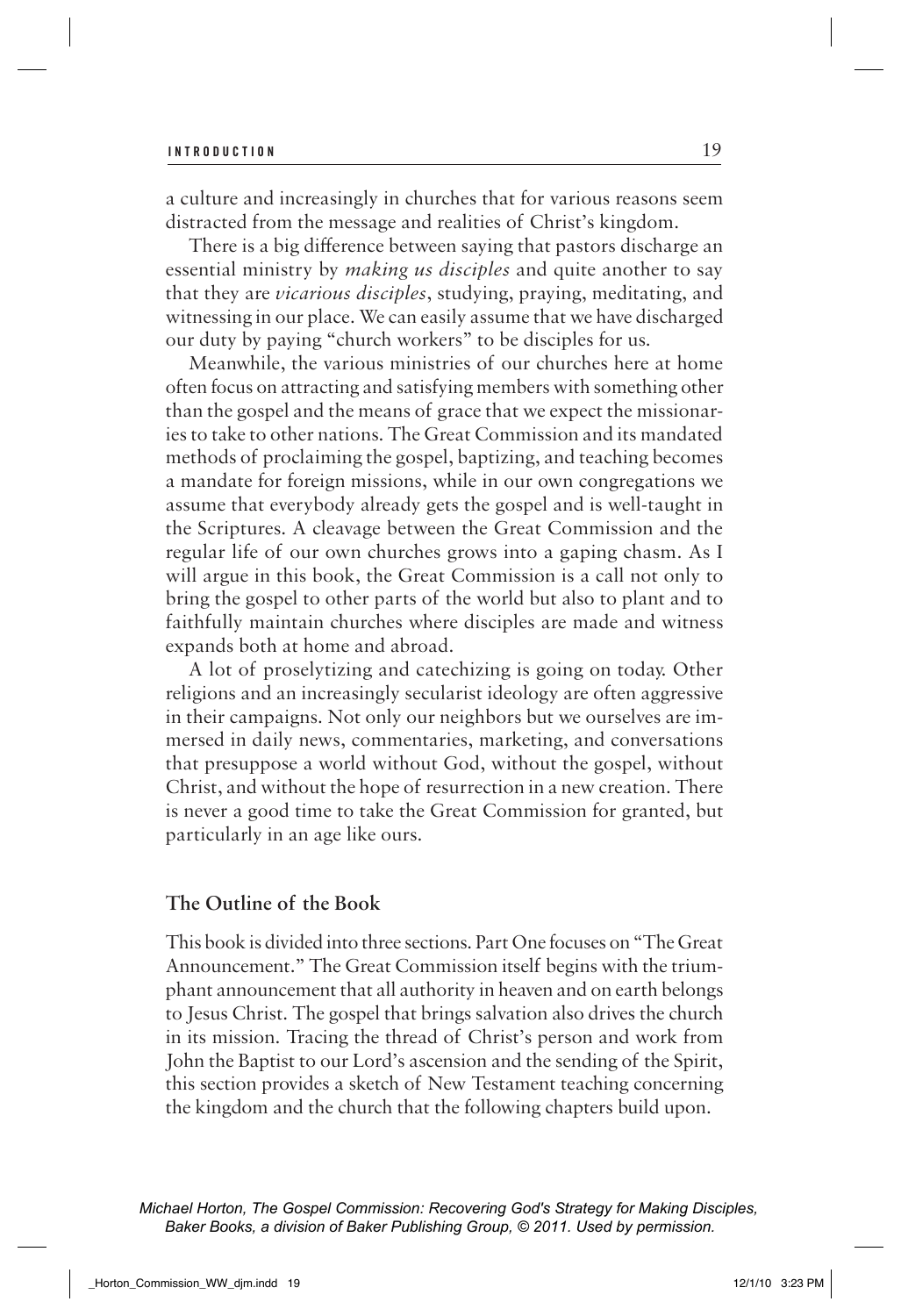a culture and increasingly in churches that for various reasons seem distracted from the message and realities of Christ's kingdom.

There is a big difference between saying that pastors discharge an essential ministry by *making us disciples* and quite another to say that they are *vicarious disciples*, studying, praying, meditating, and witnessing in our place. We can easily assume that we have discharged our duty by paying "church workers" to be disciples for us.

Meanwhile, the various ministries of our churches here at home often focus on attracting and satisfying members with something other than the gospel and the means of grace that we expect the missionaries to take to other nations. The Great Commission and its mandated methods of proclaiming the gospel, baptizing, and teaching becomes a mandate for foreign missions, while in our own congregations we assume that everybody already gets the gospel and is well-taught in the Scriptures. A cleavage between the Great Commission and the regular life of our own churches grows into a gaping chasm. As I will argue in this book, the Great Commission is a call not only to bring the gospel to other parts of the world but also to plant and to faithfully maintain churches where disciples are made and witness expands both at home and abroad.

A lot of proselytizing and catechizing is going on today. Other religions and an increasingly secularist ideology are often aggressive in their campaigns. Not only our neighbors but we ourselves are immersed in daily news, commentaries, marketing, and conversations that presuppose a world without God, without the gospel, without Christ, and without the hope of resurrection in a new creation. There is never a good time to take the Great Commission for granted, but particularly in an age like ours.

#### **The Outline of the Book**

This book is divided into three sections. Part One focuses on "The Great Announcement." The Great Commission itself begins with the triumphant announcement that all authority in heaven and on earth belongs to Jesus Christ. The gospel that brings salvation also drives the church in its mission. Tracing the thread of Christ's person and work from John the Baptist to our Lord's ascension and the sending of the Spirit, this section provides a sketch of New Testament teaching concerning the kingdom and the church that the following chapters build upon.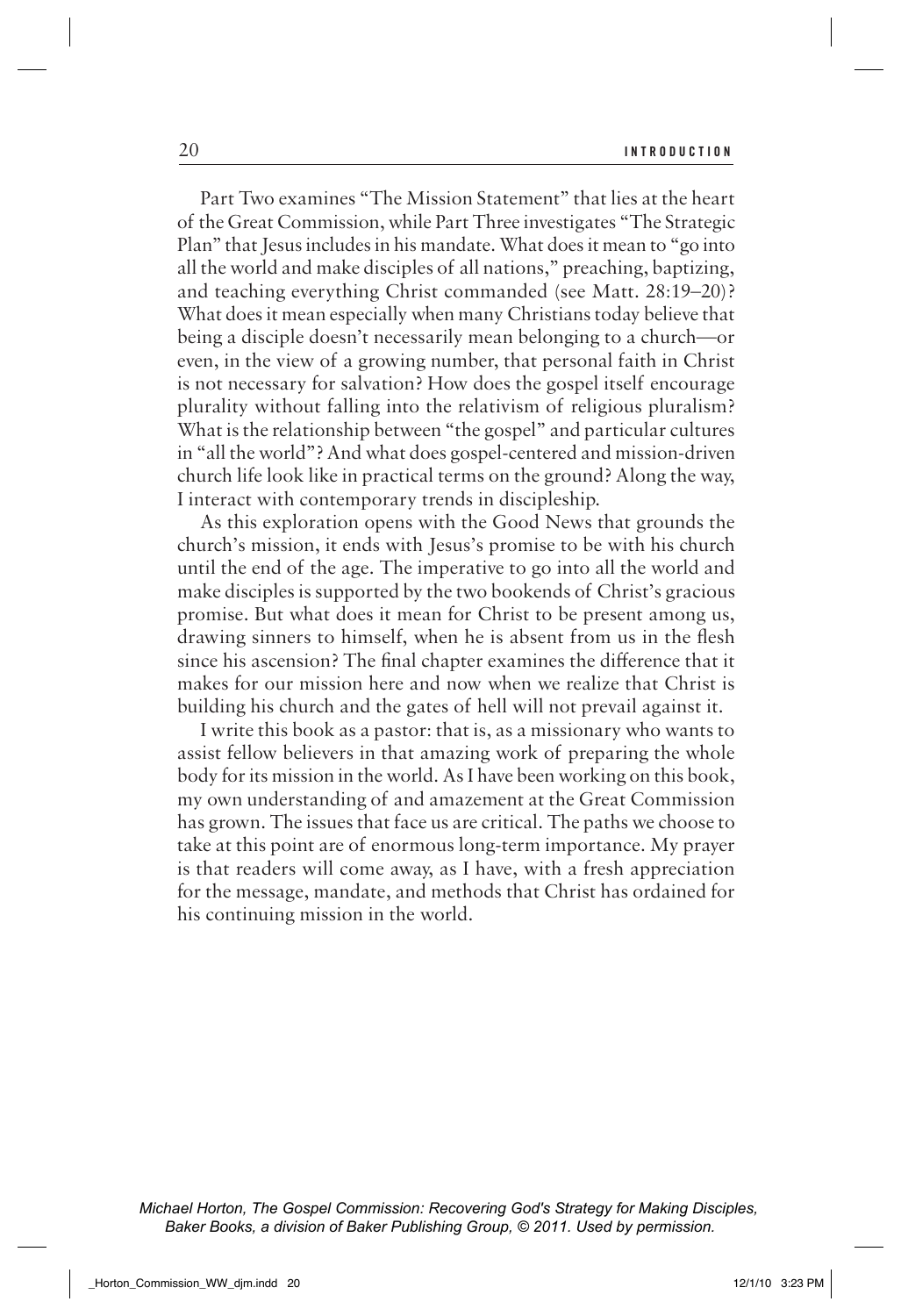Part Two examines "The Mission Statement" that lies at the heart of the Great Commission, while Part Three investigates "The Strategic Plan" that Jesus includes in his mandate. What does it mean to "go into all the world and make disciples of all nations," preaching, baptizing, and teaching everything Christ commanded (see Matt. 28:19–20)? What does it mean especially when many Christians today believe that being a disciple doesn't necessarily mean belonging to a church—or even, in the view of a growing number, that personal faith in Christ is not necessary for salvation? How does the gospel itself encourage plurality without falling into the relativism of religious pluralism? What is the relationship between "the gospel" and particular cultures in "all the world"? And what does gospel-centered and mission-driven church life look like in practical terms on the ground? Along the way, I interact with contemporary trends in discipleship.

As this exploration opens with the Good News that grounds the church's mission, it ends with Jesus's promise to be with his church until the end of the age. The imperative to go into all the world and make disciples is supported by the two bookends of Christ's gracious promise. But what does it mean for Christ to be present among us, drawing sinners to himself, when he is absent from us in the flesh since his ascension? The final chapter examines the difference that it makes for our mission here and now when we realize that Christ is building his church and the gates of hell will not prevail against it.

I write this book as a pastor: that is, as a missionary who wants to assist fellow believers in that amazing work of preparing the whole body for its mission in the world. As I have been working on this book, my own understanding of and amazement at the Great Commission has grown. The issues that face us are critical. The paths we choose to take at this point are of enormous long-term importance. My prayer is that readers will come away, as I have, with a fresh appreciation for the message, mandate, and methods that Christ has ordained for his continuing mission in the world.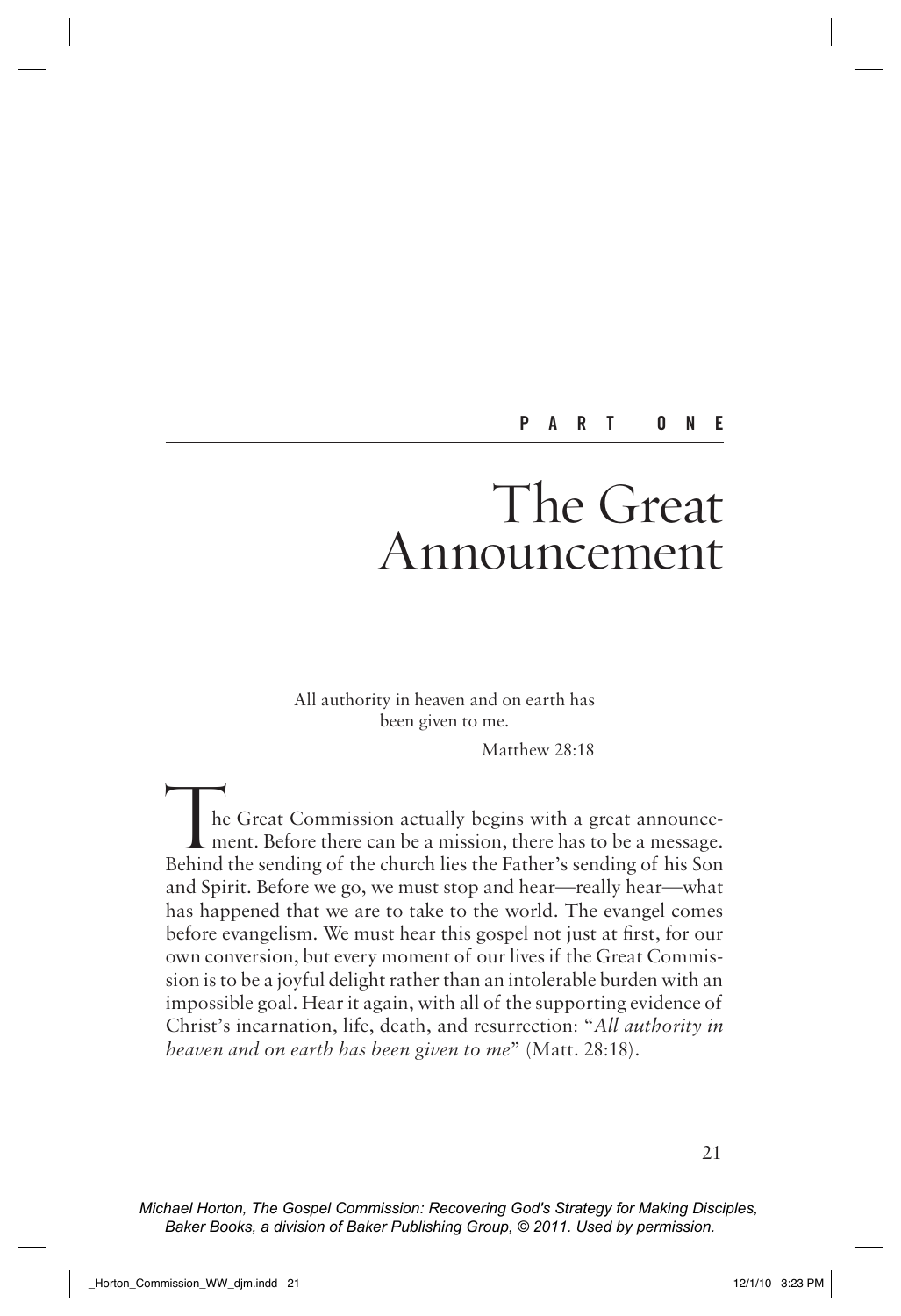#### **P ART O N E**

# The Great Announcement

All authority in heaven and on earth has been given to me.

Matthew 28:18

The Great Commission actually begins with a great announce-<br>ment. Before there can be a mission, there has to be a message.<br>Behind the sending of the church lies the Father's sending of his Son ment. Before there can be a mission, there has to be a message. and Spirit. Before we go, we must stop and hear—really hear—what has happened that we are to take to the world. The evangel comes before evangelism. We must hear this gospel not just at first, for our own conversion, but every moment of our lives if the Great Commission is to be a joyful delight rather than an intolerable burden with an impossible goal. Hear it again, with all of the supporting evidence of Christ's incarnation, life, death, and resurrection: "*All authority in heaven and on earth has been given to me*" (Matt. 28:18).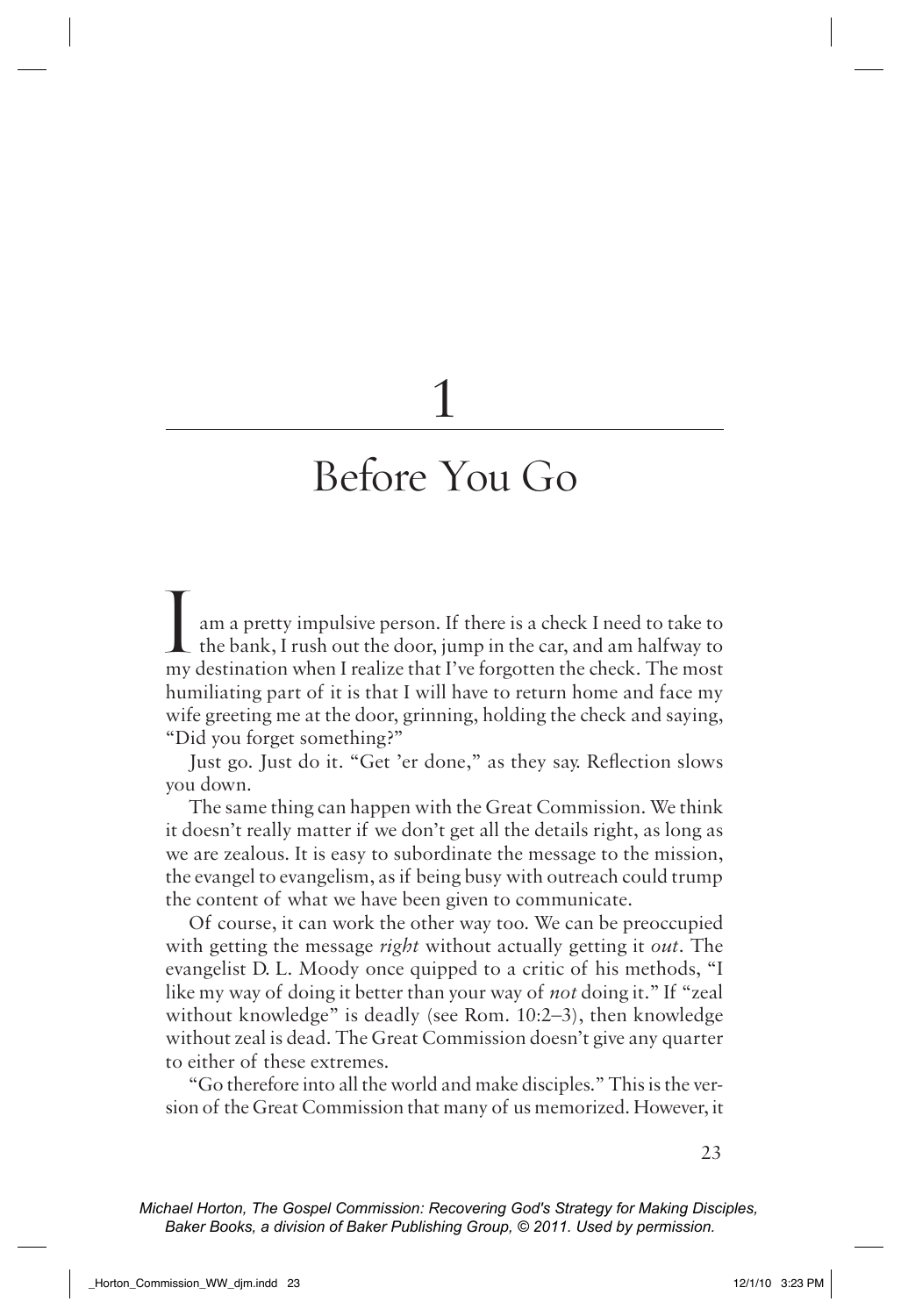1

## Before You Go

am a pretty impulsive person. If there is a check I need to take to  $\blacksquare$  the bank, I rush out the door, jump in the car, and am halfway to my destination when I realize that I've forgotten the check. The most humiliating part of it is that I will have to return home and face my wife greeting me at the door, grinning, holding the check and saying, "Did you forget something?"

Just go. Just do it. "Get 'er done," as they say. Reflection slows you down.

The same thing can happen with the Great Commission. We think it doesn't really matter if we don't get all the details right, as long as we are zealous. It is easy to subordinate the message to the mission, the evangel to evangelism, as if being busy with outreach could trump the content of what we have been given to communicate.

Of course, it can work the other way too. We can be preoccupied with getting the message *right* without actually getting it *out*. The evangelist D. L. Moody once quipped to a critic of his methods, "I like my way of doing it better than your way of *not* doing it." If "zeal without knowledge" is deadly (see Rom. 10:2–3), then knowledge without zeal is dead. The Great Commission doesn't give any quarter to either of these extremes.

"Go therefore into all the world and make disciples." This is the version of the Great Commission that many of us memorized. However, it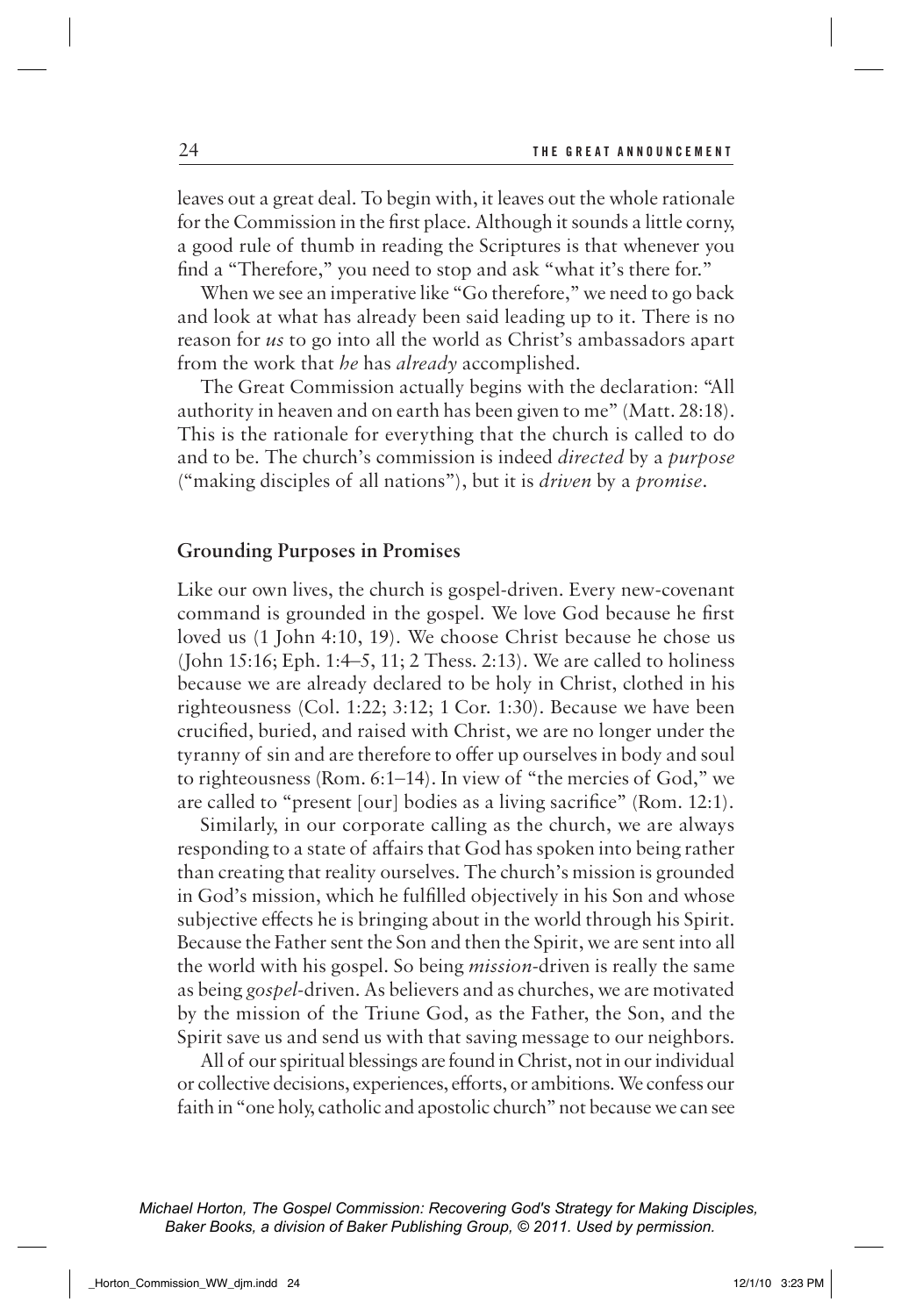leaves out a great deal. To begin with, it leaves out the whole rationale for the Commission in the first place. Although it sounds a little corny, a good rule of thumb in reading the Scriptures is that whenever you find a "Therefore," you need to stop and ask "what it's there for."

When we see an imperative like "Go therefore," we need to go back and look at what has already been said leading up to it. There is no reason for *us* to go into all the world as Christ's ambassadors apart from the work that *he* has *already* accomplished.

The Great Commission actually begins with the declaration: "All authority in heaven and on earth has been given to me" (Matt. 28:18). This is the rationale for everything that the church is called to do and to be. The church's commission is indeed *directed* by a *purpose* ("making disciples of all nations"), but it is *driven* by a *promise*.

#### **Grounding Purposes in Promises**

Like our own lives, the church is gospel-driven. Every new-covenant command is grounded in the gospel. We love God because he first loved us (1 John 4:10, 19). We choose Christ because he chose us (John 15:16; Eph. 1:4–5, 11; 2 Thess. 2:13). We are called to holiness because we are already declared to be holy in Christ, clothed in his righteousness (Col. 1:22; 3:12; 1 Cor. 1:30). Because we have been crucified, buried, and raised with Christ, we are no longer under the tyranny of sin and are therefore to offer up ourselves in body and soul to righteousness (Rom. 6:1–14). In view of "the mercies of God," we are called to "present [our] bodies as a living sacrifice" (Rom. 12:1).

Similarly, in our corporate calling as the church, we are always responding to a state of affairs that God has spoken into being rather than creating that reality ourselves. The church's mission is grounded in God's mission, which he fulfilled objectively in his Son and whose subjective effects he is bringing about in the world through his Spirit. Because the Father sent the Son and then the Spirit, we are sent into all the world with his gospel. So being *mission*-driven is really the same as being *gospel*-driven. As believers and as churches, we are motivated by the mission of the Triune God, as the Father, the Son, and the Spirit save us and send us with that saving message to our neighbors.

All of our spiritual blessings are found in Christ, not in our individual or collective decisions, experiences, efforts, or ambitions. We confess our faith in "one holy, catholic and apostolic church" not because we can see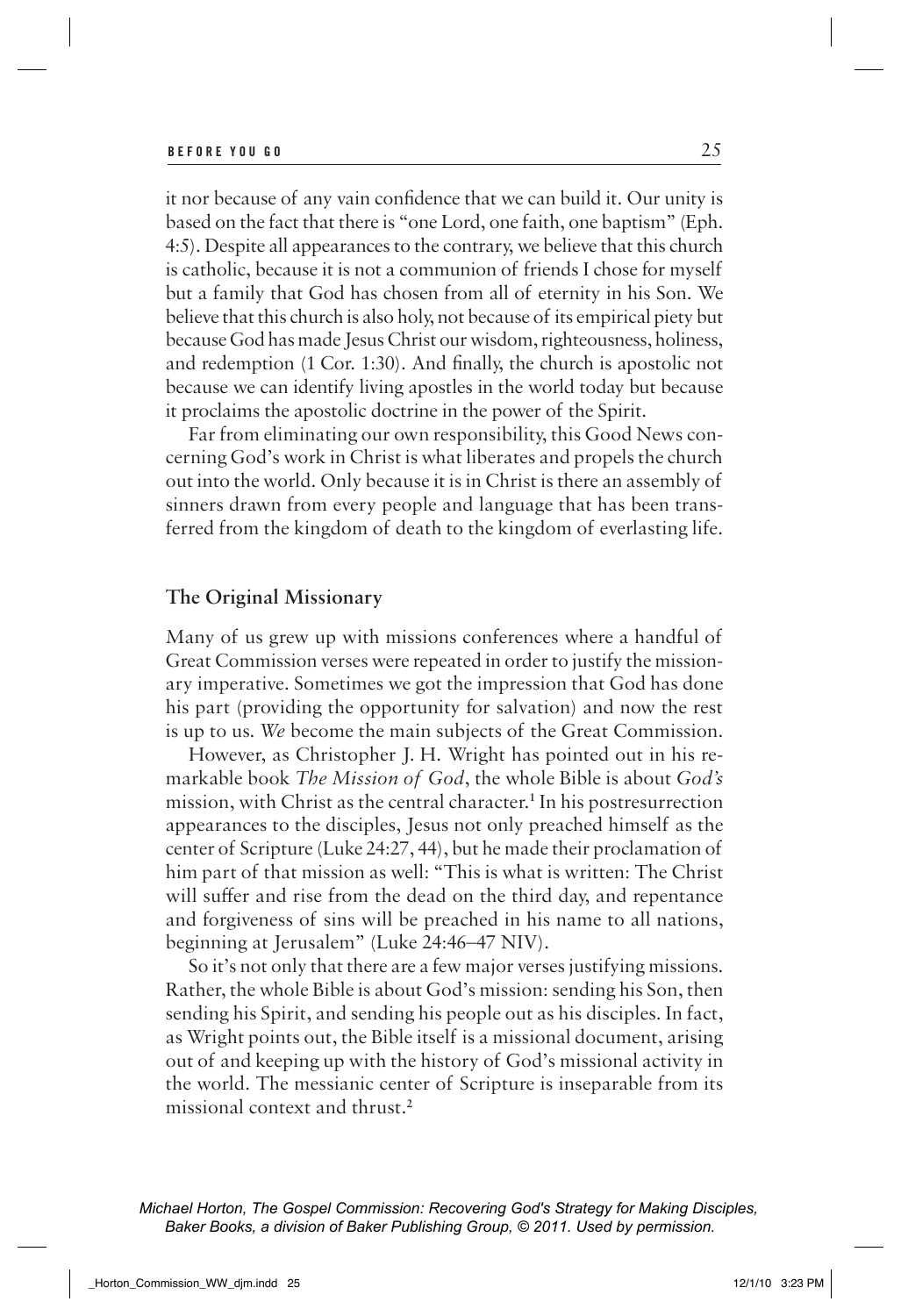it nor because of any vain confidence that we can build it. Our unity is based on the fact that there is "one Lord, one faith, one baptism" (Eph. 4:5). Despite all appearances to the contrary, we believe that this church is catholic, because it is not a communion of friends I chose for myself but a family that God has chosen from all of eternity in his Son. We believe that this church is also holy, not because of its empirical piety but because God has made Jesus Christ our wisdom, righteousness, holiness, and redemption (1 Cor. 1:30). And finally, the church is apostolic not because we can identify living apostles in the world today but because it proclaims the apostolic doctrine in the power of the Spirit.

Far from eliminating our own responsibility, this Good News concerning God's work in Christ is what liberates and propels the church out into the world. Only because it is in Christ is there an assembly of sinners drawn from every people and language that has been transferred from the kingdom of death to the kingdom of everlasting life.

#### **The Original Missionary**

Many of us grew up with missions conferences where a handful of Great Commission verses were repeated in order to justify the missionary imperative. Sometimes we got the impression that God has done his part (providing the opportunity for salvation) and now the rest is up to us. *We* become the main subjects of the Great Commission.

However, as Christopher J. H. Wright has pointed out in his remarkable book *The Mission of God*, the whole Bible is about *God's* mission, with Christ as the central character.**<sup>1</sup>** In his postresurrection appearances to the disciples, Jesus not only preached himself as the center of Scripture (Luke 24:27, 44), but he made their proclamation of him part of that mission as well: "This is what is written: The Christ will suffer and rise from the dead on the third day, and repentance and forgiveness of sins will be preached in his name to all nations, beginning at Jerusalem" (Luke 24:46–47 NIV).

So it's not only that there are a few major verses justifying missions. Rather, the whole Bible is about God's mission: sending his Son, then sending his Spirit, and sending his people out as his disciples. In fact, as Wright points out, the Bible itself is a missional document, arising out of and keeping up with the history of God's missional activity in the world. The messianic center of Scripture is inseparable from its missional context and thrust.**<sup>2</sup>**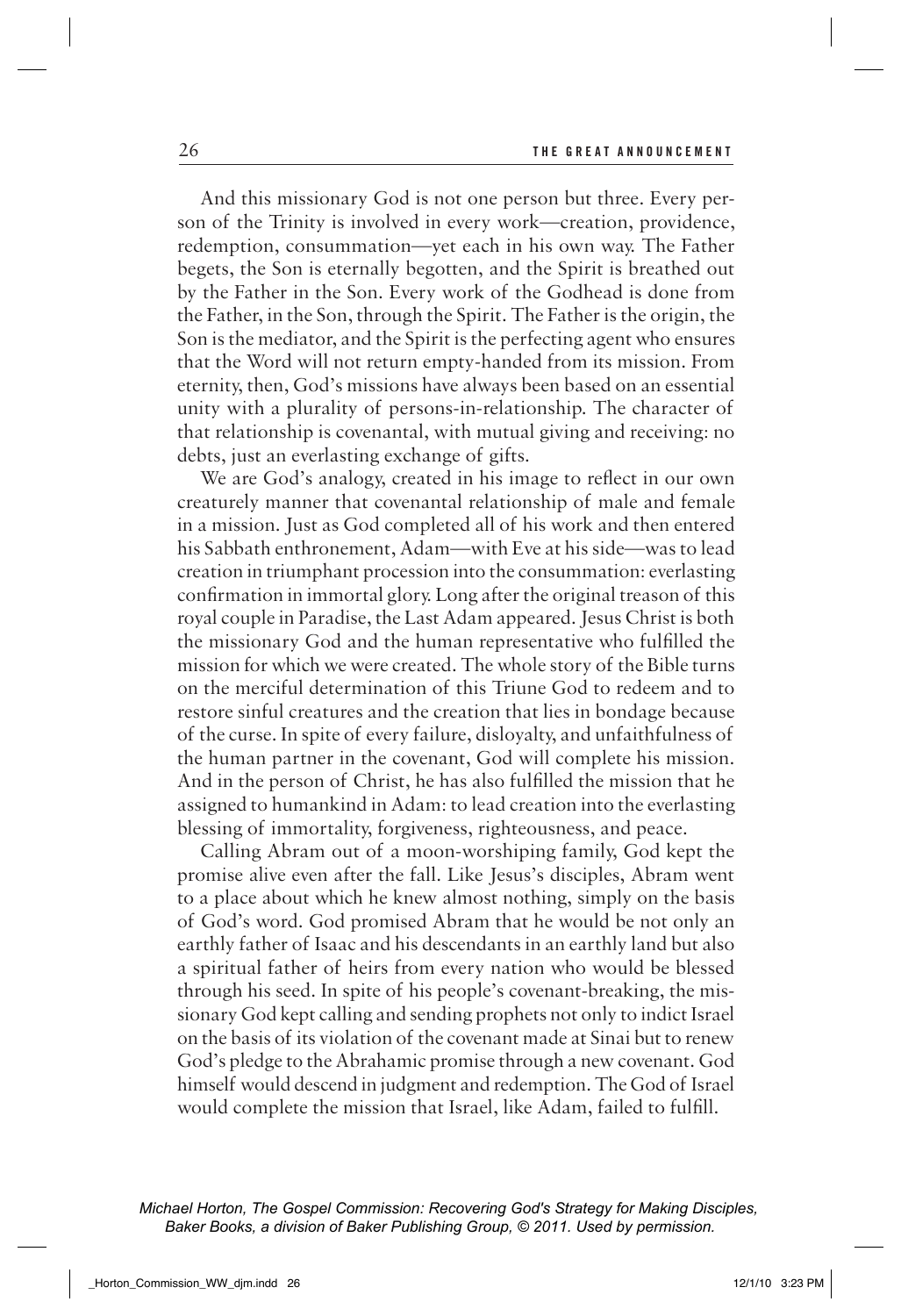And this missionary God is not one person but three. Every person of the Trinity is involved in every work—creation, providence, redemption, consummation—yet each in his own way. The Father begets, the Son is eternally begotten, and the Spirit is breathed out by the Father in the Son. Every work of the Godhead is done from the Father, in the Son, through the Spirit. The Father is the origin, the Son is the mediator, and the Spirit is the perfecting agent who ensures that the Word will not return empty-handed from its mission. From eternity, then, God's missions have always been based on an essential unity with a plurality of persons-in-relationship. The character of that relationship is covenantal, with mutual giving and receiving: no debts, just an everlasting exchange of gifts.

We are God's analogy, created in his image to reflect in our own creaturely manner that covenantal relationship of male and female in a mission. Just as God completed all of his work and then entered his Sabbath enthronement, Adam—with Eve at his side—was to lead creation in triumphant procession into the consummation: everlasting confirmation in immortal glory. Long after the original treason of this royal couple in Paradise, the Last Adam appeared. Jesus Christ is both the missionary God and the human representative who fulfilled the mission for which we were created. The whole story of the Bible turns on the merciful determination of this Triune God to redeem and to restore sinful creatures and the creation that lies in bondage because of the curse. In spite of every failure, disloyalty, and unfaithfulness of the human partner in the covenant, God will complete his mission. And in the person of Christ, he has also fulfilled the mission that he assigned to humankind in Adam: to lead creation into the everlasting blessing of immortality, forgiveness, righteousness, and peace.

Calling Abram out of a moon-worshiping family, God kept the promise alive even after the fall. Like Jesus's disciples, Abram went to a place about which he knew almost nothing, simply on the basis of God's word. God promised Abram that he would be not only an earthly father of Isaac and his descendants in an earthly land but also a spiritual father of heirs from every nation who would be blessed through his seed. In spite of his people's covenant-breaking, the missionary God kept calling and sending prophets not only to indict Israel on the basis of its violation of the covenant made at Sinai but to renew God's pledge to the Abrahamic promise through a new covenant. God himself would descend in judgment and redemption. The God of Israel would complete the mission that Israel, like Adam, failed to fulfill.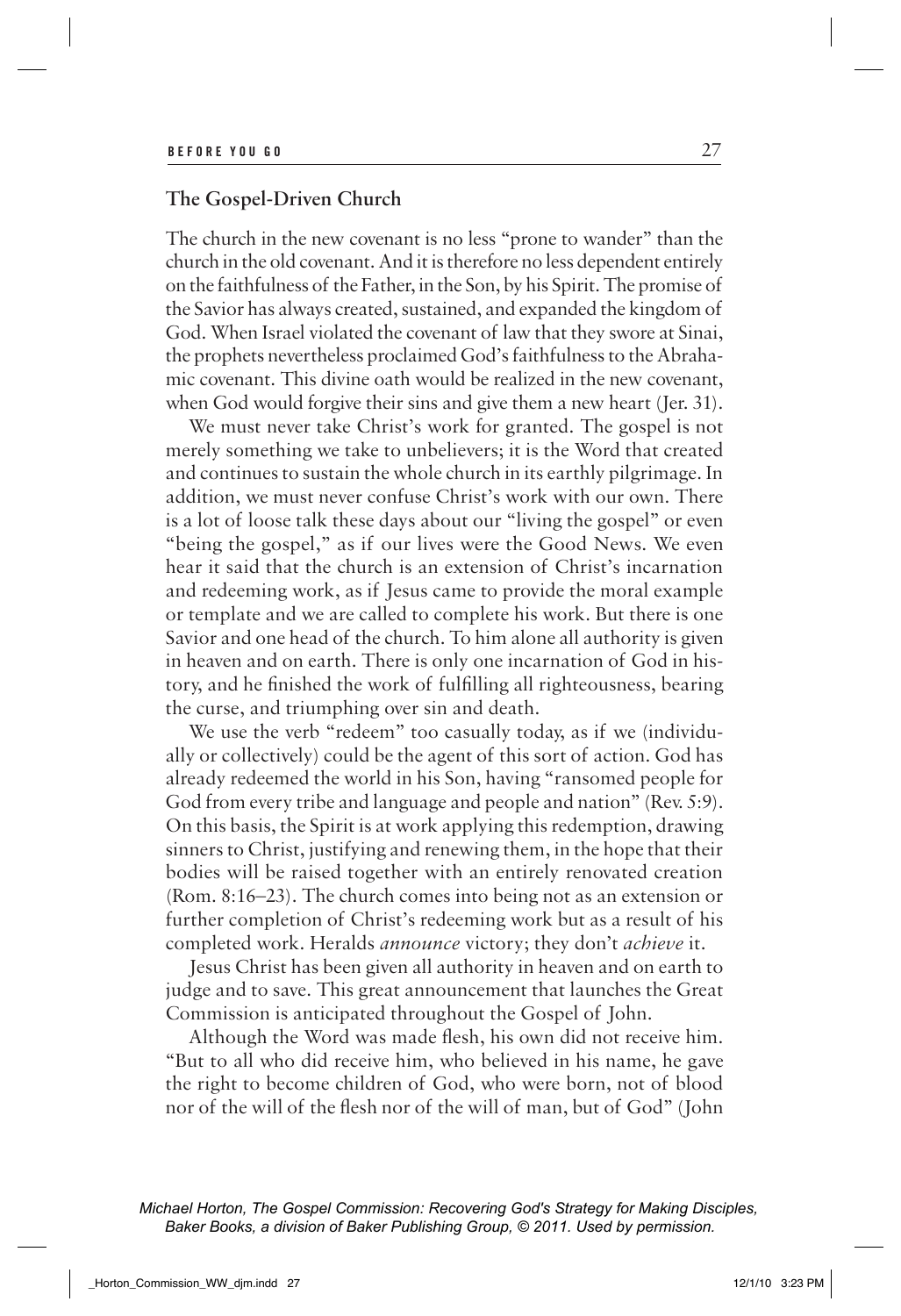#### **The Gospel-Driven Church**

The church in the new covenant is no less "prone to wander" than the church in the old covenant. And it is therefore no less dependent entirely on the faithfulness of the Father, in the Son, by his Spirit. The promise of the Savior has always created, sustained, and expanded the kingdom of God. When Israel violated the covenant of law that they swore at Sinai, the prophets nevertheless proclaimed God's faithfulness to the Abrahamic covenant. This divine oath would be realized in the new covenant, when God would forgive their sins and give them a new heart (Jer. 31).

We must never take Christ's work for granted. The gospel is not merely something we take to unbelievers; it is the Word that created and continues to sustain the whole church in its earthly pilgrimage. In addition, we must never confuse Christ's work with our own. There is a lot of loose talk these days about our "living the gospel" or even "being the gospel," as if our lives were the Good News. We even hear it said that the church is an extension of Christ's incarnation and redeeming work, as if Jesus came to provide the moral example or template and we are called to complete his work. But there is one Savior and one head of the church. To him alone all authority is given in heaven and on earth. There is only one incarnation of God in history, and he finished the work of fulfilling all righteousness, bearing the curse, and triumphing over sin and death.

We use the verb "redeem" too casually today, as if we (individually or collectively) could be the agent of this sort of action. God has already redeemed the world in his Son, having "ransomed people for God from every tribe and language and people and nation" (Rev. 5:9). On this basis, the Spirit is at work applying this redemption, drawing sinners to Christ, justifying and renewing them, in the hope that their bodies will be raised together with an entirely renovated creation (Rom. 8:16–23). The church comes into being not as an extension or further completion of Christ's redeeming work but as a result of his completed work. Heralds *announce* victory; they don't *achieve* it.

Jesus Christ has been given all authority in heaven and on earth to judge and to save. This great announcement that launches the Great Commission is anticipated throughout the Gospel of John.

Although the Word was made flesh, his own did not receive him. "But to all who did receive him, who believed in his name, he gave the right to become children of God, who were born, not of blood nor of the will of the flesh nor of the will of man, but of God" (John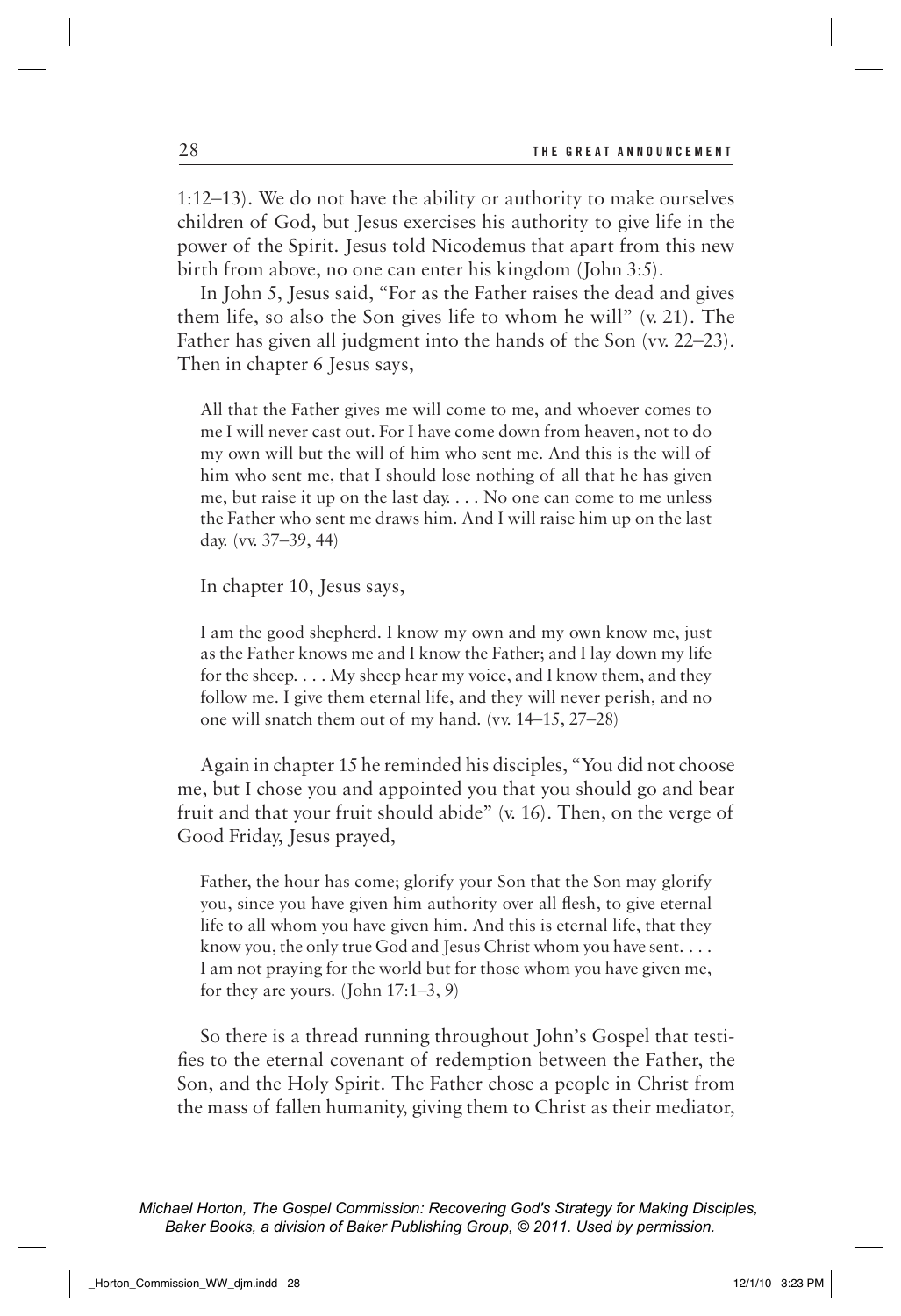1:12–13). We do not have the ability or authority to make ourselves children of God, but Jesus exercises his authority to give life in the power of the Spirit. Jesus told Nicodemus that apart from this new birth from above, no one can enter his kingdom (John 3:5).

In John 5, Jesus said, "For as the Father raises the dead and gives them life, so also the Son gives life to whom he will" (v. 21). The Father has given all judgment into the hands of the Son (vv. 22–23). Then in chapter 6 Jesus says,

All that the Father gives me will come to me, and whoever comes to me I will never cast out. For I have come down from heaven, not to do my own will but the will of him who sent me. And this is the will of him who sent me, that I should lose nothing of all that he has given me, but raise it up on the last day. . . . No one can come to me unless the Father who sent me draws him. And I will raise him up on the last day. (vv. 37–39, 44)

In chapter 10, Jesus says,

I am the good shepherd. I know my own and my own know me, just as the Father knows me and I know the Father; and I lay down my life for the sheep. . . . My sheep hear my voice, and I know them, and they follow me. I give them eternal life, and they will never perish, and no one will snatch them out of my hand. (vv. 14–15, 27–28)

Again in chapter 15 he reminded his disciples, "You did not choose me, but I chose you and appointed you that you should go and bear fruit and that your fruit should abide" (v. 16). Then, on the verge of Good Friday, Jesus prayed,

Father, the hour has come; glorify your Son that the Son may glorify you, since you have given him authority over all flesh, to give eternal life to all whom you have given him. And this is eternal life, that they know you, the only true God and Jesus Christ whom you have sent. . . . I am not praying for the world but for those whom you have given me, for they are yours. (John  $17:1-3, 9$ )

So there is a thread running throughout John's Gospel that testifies to the eternal covenant of redemption between the Father, the Son, and the Holy Spirit. The Father chose a people in Christ from the mass of fallen humanity, giving them to Christ as their mediator,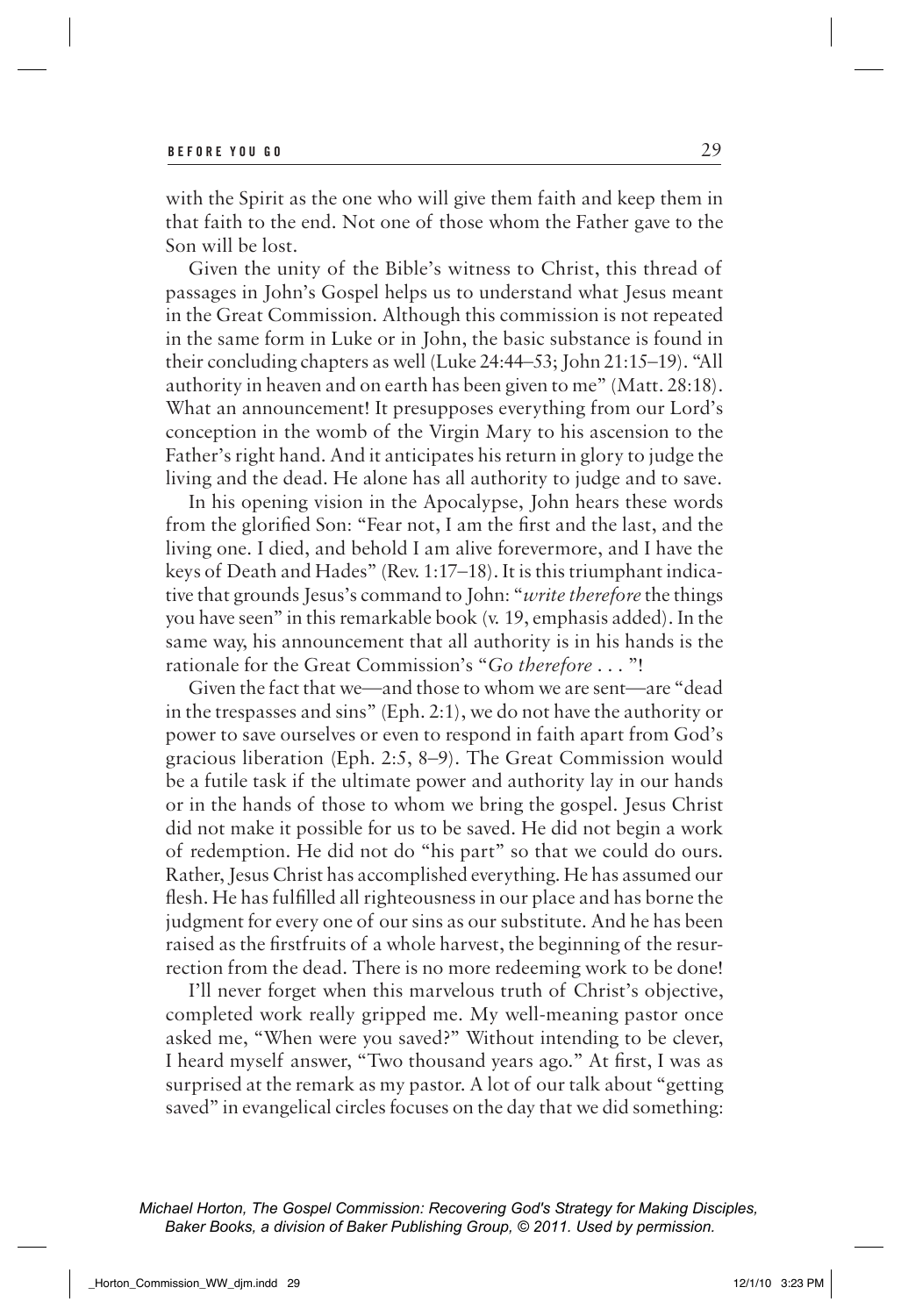with the Spirit as the one who will give them faith and keep them in that faith to the end. Not one of those whom the Father gave to the Son will be lost.

Given the unity of the Bible's witness to Christ, this thread of passages in John's Gospel helps us to understand what Jesus meant in the Great Commission. Although this commission is not repeated in the same form in Luke or in John, the basic substance is found in their concluding chapters as well (Luke 24:44–53; John 21:15–19). "All authority in heaven and on earth has been given to me" (Matt. 28:18). What an announcement! It presupposes everything from our Lord's conception in the womb of the Virgin Mary to his ascension to the Father's right hand. And it anticipates his return in glory to judge the living and the dead. He alone has all authority to judge and to save.

In his opening vision in the Apocalypse, John hears these words from the glorified Son: "Fear not, I am the first and the last, and the living one. I died, and behold I am alive forevermore, and I have the keys of Death and Hades" (Rev. 1:17–18). It is this triumphant indicative that grounds Jesus's command to John: "*write therefore* the things you have seen" in this remarkable book (v. 19, emphasis added). In the same way, his announcement that all authority is in his hands is the rationale for the Great Commission's "*Go therefore* . . . "!

Given the fact that we—and those to whom we are sent—are "dead in the trespasses and sins" (Eph. 2:1), we do not have the authority or power to save ourselves or even to respond in faith apart from God's gracious liberation (Eph. 2:5, 8–9). The Great Commission would be a futile task if the ultimate power and authority lay in our hands or in the hands of those to whom we bring the gospel. Jesus Christ did not make it possible for us to be saved. He did not begin a work of redemption. He did not do "his part" so that we could do ours. Rather, Jesus Christ has accomplished everything. He has assumed our flesh. He has fulfilled all righteousness in our place and has borne the judgment for every one of our sins as our substitute. And he has been raised as the firstfruits of a whole harvest, the beginning of the resurrection from the dead. There is no more redeeming work to be done!

I'll never forget when this marvelous truth of Christ's objective, completed work really gripped me. My well-meaning pastor once asked me, "When were you saved?" Without intending to be clever, I heard myself answer, "Two thousand years ago." At first, I was as surprised at the remark as my pastor. A lot of our talk about "getting saved" in evangelical circles focuses on the day that we did something: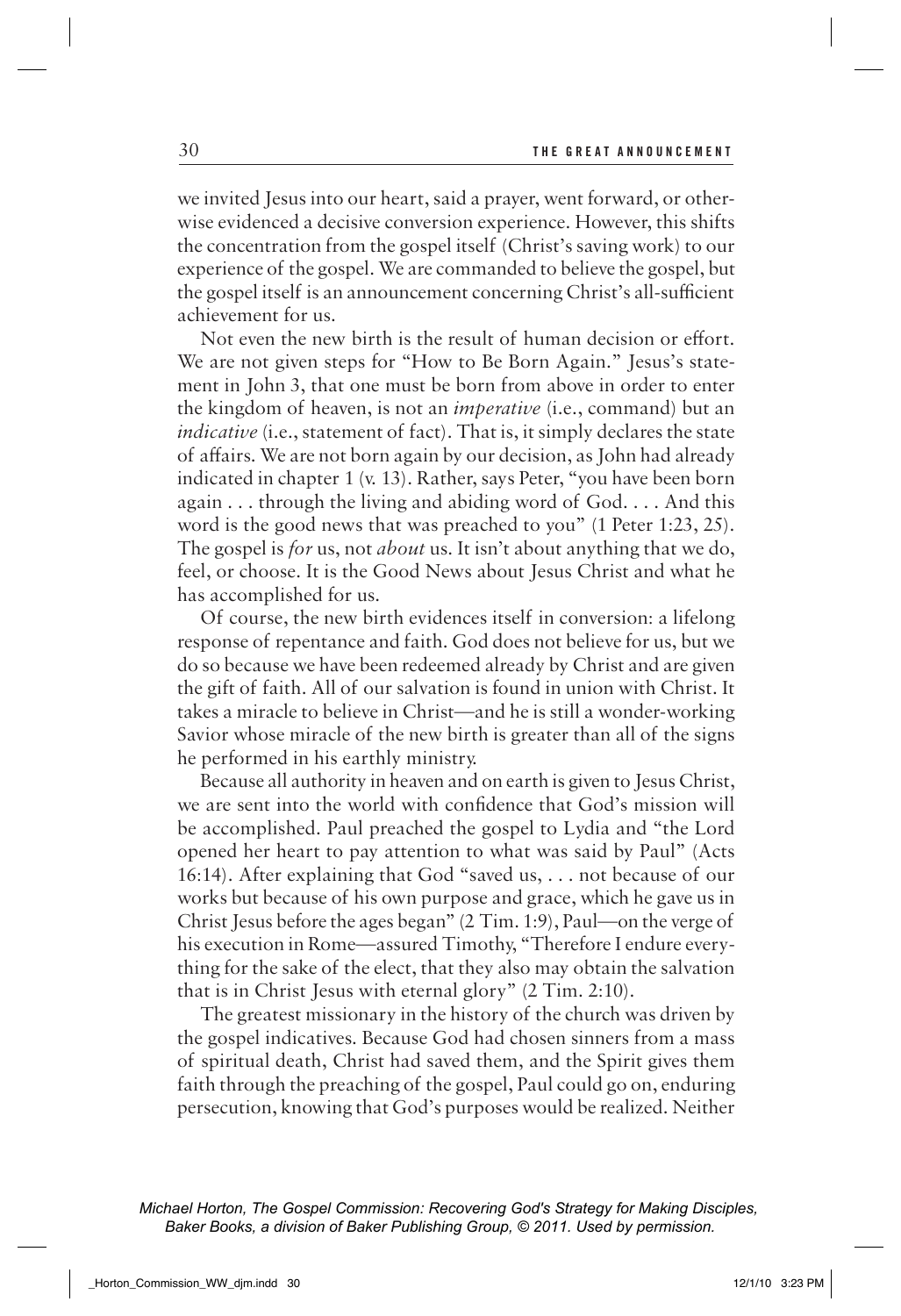we invited Jesus into our heart, said a prayer, went forward, or otherwise evidenced a decisive conversion experience. However, this shifts the concentration from the gospel itself (Christ's saving work) to our experience of the gospel. We are commanded to believe the gospel, but the gospel itself is an announcement concerning Christ's all-sufficient achievement for us.

Not even the new birth is the result of human decision or effort. We are not given steps for "How to Be Born Again." Jesus's statement in John 3, that one must be born from above in order to enter the kingdom of heaven, is not an *imperative* (i.e., command) but an *indicative* (i.e., statement of fact). That is, it simply declares the state of affairs. We are not born again by our decision, as John had already indicated in chapter 1 (v. 13). Rather, says Peter, "you have been born again . . . through the living and abiding word of God. . . . And this word is the good news that was preached to you" (1 Peter 1:23, 25). The gospel is *for* us, not *about* us. It isn't about anything that we do, feel, or choose. It is the Good News about Jesus Christ and what he has accomplished for us.

Of course, the new birth evidences itself in conversion: a lifelong response of repentance and faith. God does not believe for us, but we do so because we have been redeemed already by Christ and are given the gift of faith. All of our salvation is found in union with Christ. It takes a miracle to believe in Christ—and he is still a wonder-working Savior whose miracle of the new birth is greater than all of the signs he performed in his earthly ministry.

Because all authority in heaven and on earth is given to Jesus Christ, we are sent into the world with confidence that God's mission will be accomplished. Paul preached the gospel to Lydia and "the Lord opened her heart to pay attention to what was said by Paul" (Acts 16:14). After explaining that God "saved us, . . . not because of our works but because of his own purpose and grace, which he gave us in Christ Jesus before the ages began" (2 Tim. 1:9), Paul—on the verge of his execution in Rome—assured Timothy, "Therefore I endure everything for the sake of the elect, that they also may obtain the salvation that is in Christ Jesus with eternal glory" (2 Tim. 2:10).

The greatest missionary in the history of the church was driven by the gospel indicatives. Because God had chosen sinners from a mass of spiritual death, Christ had saved them, and the Spirit gives them faith through the preaching of the gospel, Paul could go on, enduring persecution, knowing that God's purposes would be realized. Neither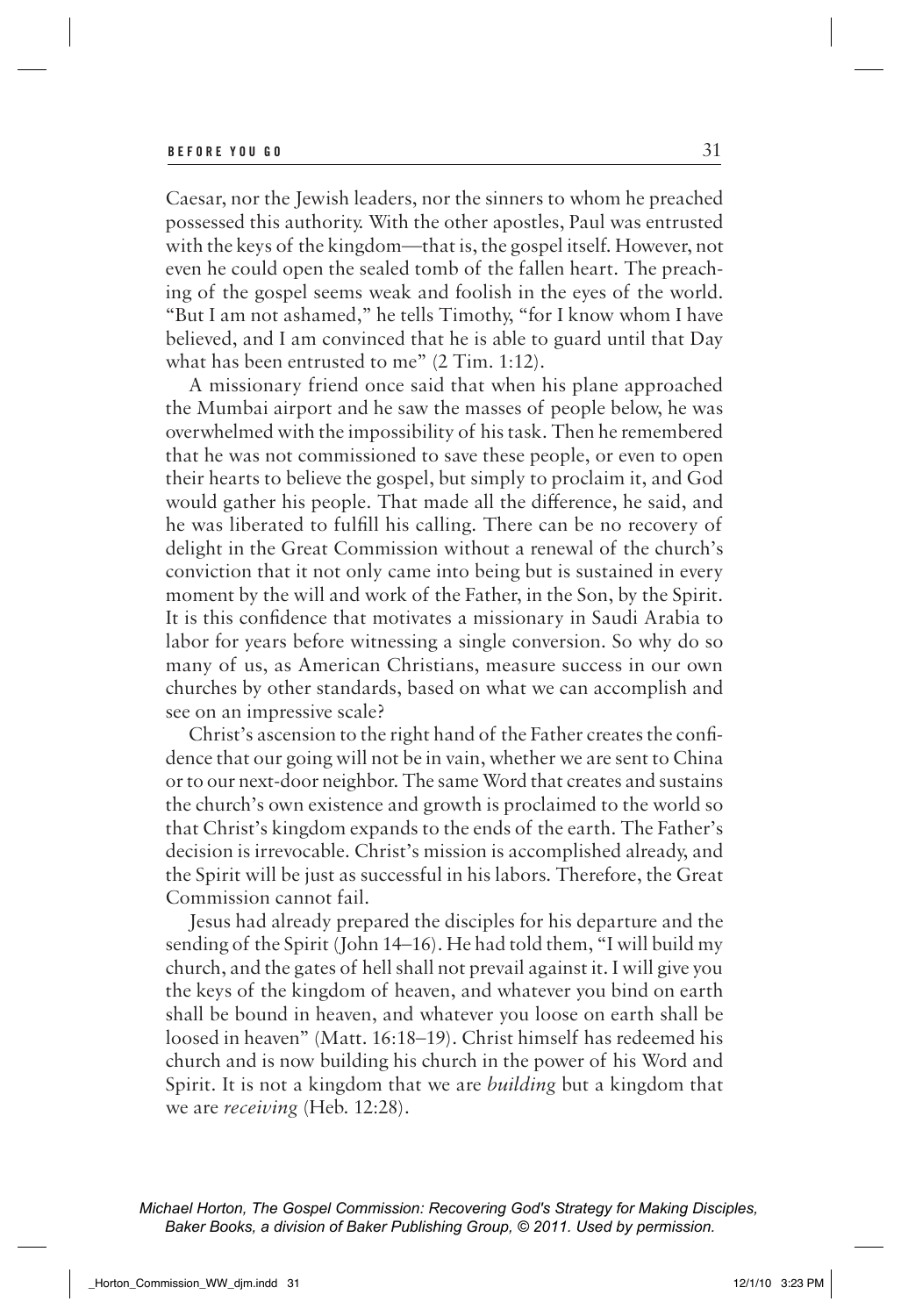Caesar, nor the Jewish leaders, nor the sinners to whom he preached possessed this authority. With the other apostles, Paul was entrusted with the keys of the kingdom—that is, the gospel itself. However, not even he could open the sealed tomb of the fallen heart. The preaching of the gospel seems weak and foolish in the eyes of the world. "But I am not ashamed," he tells Timothy, "for I know whom I have believed, and I am convinced that he is able to guard until that Day what has been entrusted to me" (2 Tim. 1:12).

A missionary friend once said that when his plane approached the Mumbai airport and he saw the masses of people below, he was overwhelmed with the impossibility of his task. Then he remembered that he was not commissioned to save these people, or even to open their hearts to believe the gospel, but simply to proclaim it, and God would gather his people. That made all the difference, he said, and he was liberated to fulfill his calling. There can be no recovery of delight in the Great Commission without a renewal of the church's conviction that it not only came into being but is sustained in every moment by the will and work of the Father, in the Son, by the Spirit. It is this confidence that motivates a missionary in Saudi Arabia to labor for years before witnessing a single conversion. So why do so many of us, as American Christians, measure success in our own churches by other standards, based on what we can accomplish and see on an impressive scale?

Christ's ascension to the right hand of the Father creates the confidence that our going will not be in vain, whether we are sent to China or to our next-door neighbor. The same Word that creates and sustains the church's own existence and growth is proclaimed to the world so that Christ's kingdom expands to the ends of the earth. The Father's decision is irrevocable. Christ's mission is accomplished already, and the Spirit will be just as successful in his labors. Therefore, the Great Commission cannot fail.

Jesus had already prepared the disciples for his departure and the sending of the Spirit (John 14–16). He had told them, "I will build my church, and the gates of hell shall not prevail against it. I will give you the keys of the kingdom of heaven, and whatever you bind on earth shall be bound in heaven, and whatever you loose on earth shall be loosed in heaven" (Matt. 16:18–19). Christ himself has redeemed his church and is now building his church in the power of his Word and Spirit. It is not a kingdom that we are *building* but a kingdom that we are *receiving* (Heb. 12:28).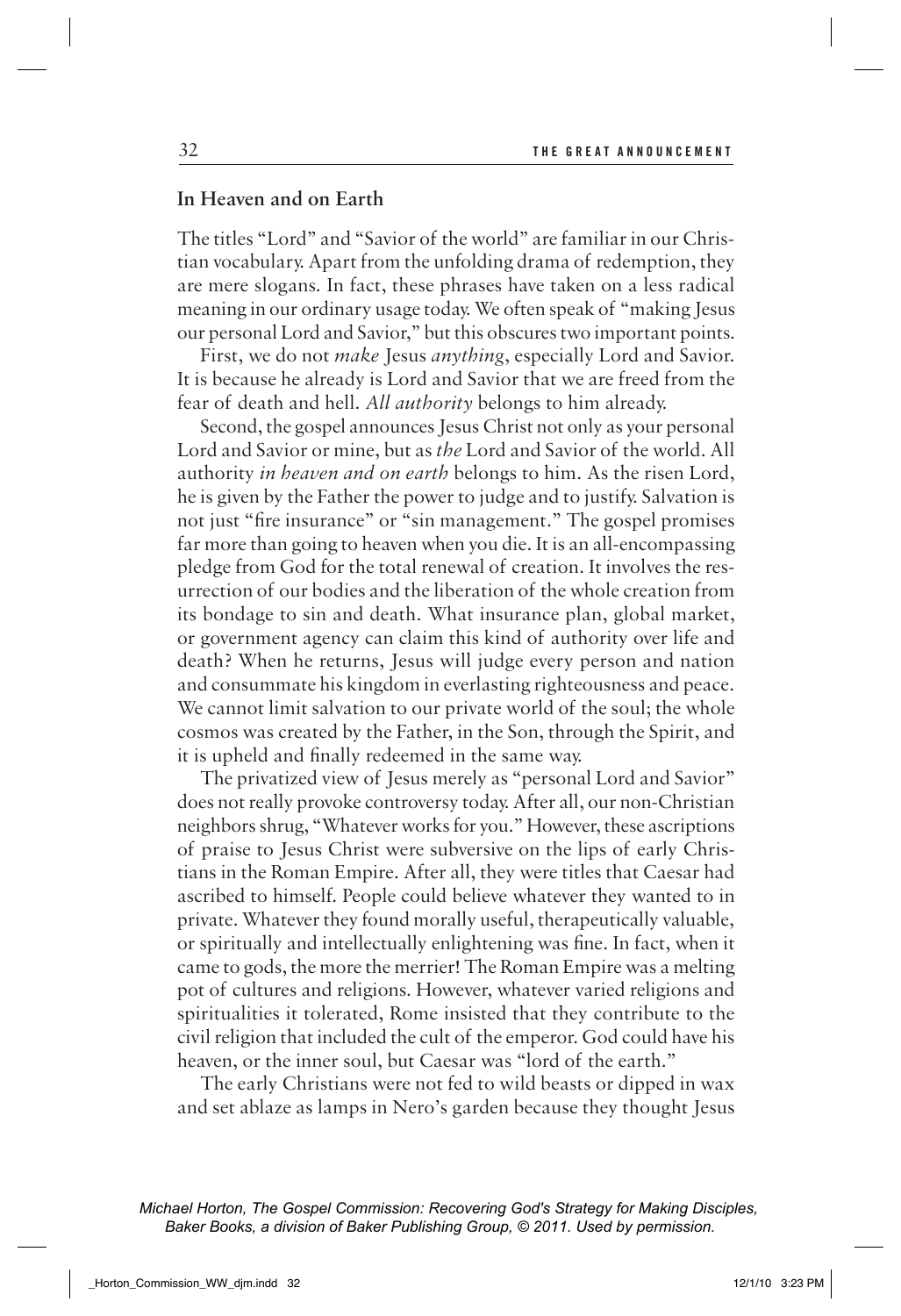#### **In Heaven and on Earth**

The titles "Lord" and "Savior of the world" are familiar in our Christian vocabulary. Apart from the unfolding drama of redemption, they are mere slogans. In fact, these phrases have taken on a less radical meaning in our ordinary usage today. We often speak of "making Jesus our personal Lord and Savior," but this obscures two important points.

First, we do not *make* Jesus *anything*, especially Lord and Savior. It is because he already is Lord and Savior that we are freed from the fear of death and hell. *All authority* belongs to him already.

Second, the gospel announces Jesus Christ not only as your personal Lord and Savior or mine, but as *the* Lord and Savior of the world. All authority *in heaven and on earth* belongs to him. As the risen Lord, he is given by the Father the power to judge and to justify. Salvation is not just "fire insurance" or "sin management." The gospel promises far more than going to heaven when you die. It is an all-encompassing pledge from God for the total renewal of creation. It involves the resurrection of our bodies and the liberation of the whole creation from its bondage to sin and death. What insurance plan, global market, or government agency can claim this kind of authority over life and death? When he returns, Jesus will judge every person and nation and consummate his kingdom in everlasting righteousness and peace. We cannot limit salvation to our private world of the soul; the whole cosmos was created by the Father, in the Son, through the Spirit, and it is upheld and finally redeemed in the same way.

The privatized view of Jesus merely as "personal Lord and Savior" does not really provoke controversy today. After all, our non-Christian neighbors shrug, "Whatever works for you." However, these ascriptions of praise to Jesus Christ were subversive on the lips of early Christians in the Roman Empire. After all, they were titles that Caesar had ascribed to himself. People could believe whatever they wanted to in private. Whatever they found morally useful, therapeutically valuable, or spiritually and intellectually enlightening was fine. In fact, when it came to gods, the more the merrier! The Roman Empire was a melting pot of cultures and religions. However, whatever varied religions and spiritualities it tolerated, Rome insisted that they contribute to the civil religion that included the cult of the emperor. God could have his heaven, or the inner soul, but Caesar was "lord of the earth."

The early Christians were not fed to wild beasts or dipped in wax and set ablaze as lamps in Nero's garden because they thought Jesus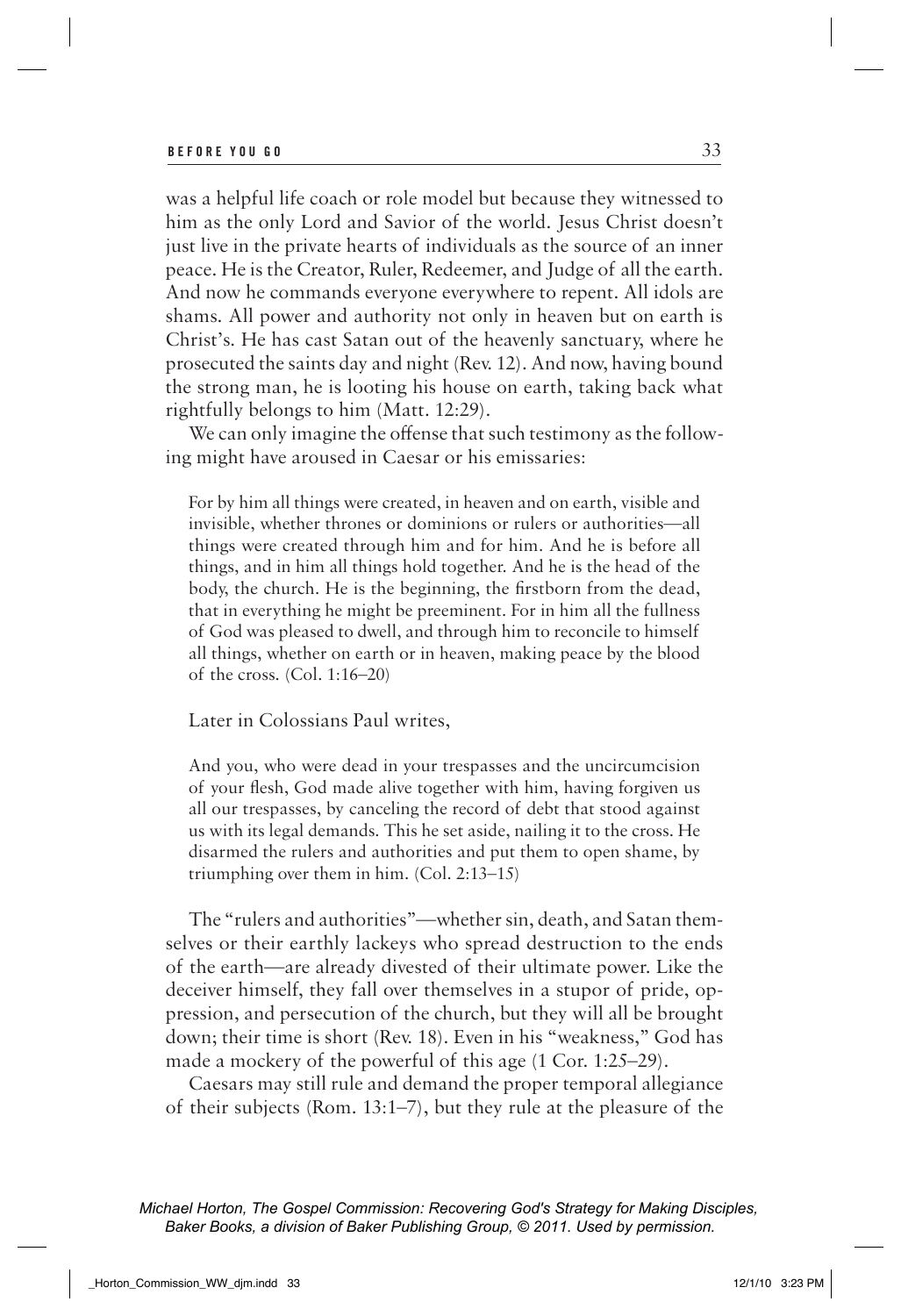was a helpful life coach or role model but because they witnessed to him as the only Lord and Savior of the world. Jesus Christ doesn't just live in the private hearts of individuals as the source of an inner peace. He is the Creator, Ruler, Redeemer, and Judge of all the earth. And now he commands everyone everywhere to repent. All idols are shams. All power and authority not only in heaven but on earth is Christ's. He has cast Satan out of the heavenly sanctuary, where he prosecuted the saints day and night (Rev. 12). And now, having bound the strong man, he is looting his house on earth, taking back what rightfully belongs to him (Matt. 12:29).

We can only imagine the offense that such testimony as the following might have aroused in Caesar or his emissaries:

For by him all things were created, in heaven and on earth, visible and invisible, whether thrones or dominions or rulers or authorities—all things were created through him and for him. And he is before all things, and in him all things hold together. And he is the head of the body, the church. He is the beginning, the firstborn from the dead, that in everything he might be preeminent. For in him all the fullness of God was pleased to dwell, and through him to reconcile to himself all things, whether on earth or in heaven, making peace by the blood of the cross. (Col. 1:16–20)

Later in Colossians Paul writes,

And you, who were dead in your trespasses and the uncircumcision of your flesh, God made alive together with him, having forgiven us all our trespasses, by canceling the record of debt that stood against us with its legal demands. This he set aside, nailing it to the cross. He disarmed the rulers and authorities and put them to open shame, by triumphing over them in him. (Col. 2:13–15)

The "rulers and authorities"—whether sin, death, and Satan themselves or their earthly lackeys who spread destruction to the ends of the earth—are already divested of their ultimate power. Like the deceiver himself, they fall over themselves in a stupor of pride, oppression, and persecution of the church, but they will all be brought down; their time is short (Rev. 18). Even in his "weakness," God has made a mockery of the powerful of this age (1 Cor. 1:25–29).

Caesars may still rule and demand the proper temporal allegiance of their subjects (Rom. 13:1–7), but they rule at the pleasure of the